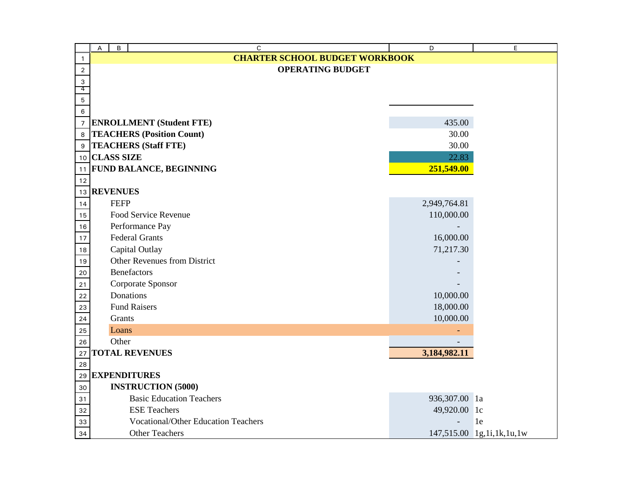|                | B<br>$\mathsf{C}$<br>А                     | D             | E                         |
|----------------|--------------------------------------------|---------------|---------------------------|
| $\mathbf{1}$   | <b>CHARTER SCHOOL BUDGET WORKBOOK</b>      |               |                           |
| $\overline{2}$ | <b>OPERATING BUDGET</b>                    |               |                           |
| 3<br>4         |                                            |               |                           |
| 5              |                                            |               |                           |
| 6              |                                            |               |                           |
| $\overline{7}$ | <b>ENROLLMENT</b> (Student FTE)            | 435.00        |                           |
| 8              | <b>TEACHERS (Position Count)</b>           | 30.00         |                           |
| 9              | <b>TEACHERS (Staff FTE)</b>                | 30.00         |                           |
|                | 10 CLASS SIZE                              | 22.83         |                           |
|                | 11 FUND BALANCE, BEGINNING                 | 251,549.00    |                           |
| 12             |                                            |               |                           |
| 13             | <b>REVENUES</b>                            |               |                           |
| 14             | <b>FEFP</b>                                | 2,949,764.81  |                           |
| 15             | Food Service Revenue                       | 110,000.00    |                           |
| 16             | Performance Pay                            |               |                           |
| 17             | <b>Federal Grants</b>                      | 16,000.00     |                           |
| 18             | Capital Outlay                             | 71,217.30     |                           |
| 19             | Other Revenues from District               |               |                           |
| 20             | <b>Benefactors</b>                         |               |                           |
| 21             | Corporate Sponsor                          |               |                           |
| 22             | Donations                                  | 10,000.00     |                           |
| 23             | <b>Fund Raisers</b>                        | 18,000.00     |                           |
| 24             | Grants                                     | 10,000.00     |                           |
| 25             | Loans                                      |               |                           |
| 26             | Other                                      |               |                           |
| 27             | <b>TOTAL REVENUES</b>                      | 3,184,982.11  |                           |
| 28             |                                            |               |                           |
| 29             | <b>EXPENDITURES</b>                        |               |                           |
| 30             | <b>INSTRUCTION (5000)</b>                  |               |                           |
| 31             | <b>Basic Education Teachers</b>            | 936,307.00 la |                           |
| 32             | <b>ESE Teachers</b>                        | 49,920.00 lc  |                           |
| 33             | <b>Vocational/Other Education Teachers</b> |               | 1e                        |
| 34             | <b>Other Teachers</b>                      |               | 147,515.00 1g,1i,1k,1u,1w |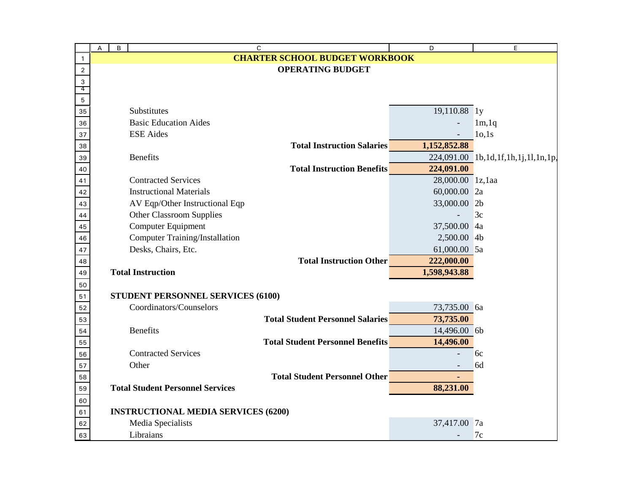|              | A | B | C                                                    | D                              | E                                   |
|--------------|---|---|------------------------------------------------------|--------------------------------|-------------------------------------|
| $\mathbf{1}$ |   |   | <b>CHARTER SCHOOL BUDGET WORKBOOK</b>                |                                |                                     |
| $\sqrt{2}$   |   |   | <b>OPERATING BUDGET</b>                              |                                |                                     |
| 3            |   |   |                                                      |                                |                                     |
| 4            |   |   |                                                      |                                |                                     |
| 5<br>35      |   |   | Substitutes                                          | 19,110.88 ly                   |                                     |
|              |   |   | <b>Basic Education Aides</b>                         |                                |                                     |
| 36           |   |   | <b>ESE</b> Aides                                     |                                | 1m, 1q<br>10,1s                     |
| 37           |   |   |                                                      | 1,152,852.88                   |                                     |
| 38           |   |   | <b>Total Instruction Salaries</b><br><b>Benefits</b> |                                |                                     |
| 39           |   |   | <b>Total Instruction Benefits</b>                    |                                | 224,091.00 1b,1d,1f,1h,1j,1l,1n,1p, |
| 40           |   |   | <b>Contracted Services</b>                           | 224,091.00<br>28,000.00 1z,1aa |                                     |
| 41           |   |   | <b>Instructional Materials</b>                       |                                |                                     |
| 42           |   |   |                                                      | 60,000.00 2a                   |                                     |
| 43           |   |   | AV Eqp/Other Instructional Eqp                       | 33,000.00                      | 2b<br>3c                            |
| 44           |   |   | <b>Other Classroom Supplies</b>                      |                                |                                     |
| 45           |   |   | Computer Equipment                                   | 37,500.00                      | 4a                                  |
| 46           |   |   | <b>Computer Training/Installation</b>                | 2,500.00 4b                    |                                     |
| 47           |   |   | Desks, Chairs, Etc.                                  | 61,000.00 5a                   |                                     |
| 48           |   |   | <b>Total Instruction Other</b>                       | 222,000.00                     |                                     |
| 49           |   |   | <b>Total Instruction</b>                             | 1,598,943.88                   |                                     |
| 50           |   |   |                                                      |                                |                                     |
| 51           |   |   | STUDENT PERSONNEL SERVICES (6100)                    |                                |                                     |
| 52           |   |   | Coordinators/Counselors                              | 73,735.00 6a                   |                                     |
| 53           |   |   | <b>Total Student Personnel Salaries</b>              | 73,735.00                      |                                     |
| 54           |   |   | <b>Benefits</b>                                      | 14,496.00 6b                   |                                     |
| 55           |   |   | <b>Total Student Personnel Benefits</b>              | 14,496.00                      |                                     |
| 56           |   |   | <b>Contracted Services</b>                           |                                | 6c                                  |
| 57           |   |   | Other                                                |                                | 6d                                  |
| 58           |   |   | <b>Total Student Personnel Other</b>                 |                                |                                     |
| 59           |   |   | <b>Total Student Personnel Services</b>              | 88,231.00                      |                                     |
| 60           |   |   |                                                      |                                |                                     |
| 61           |   |   | <b>INSTRUCTIONAL MEDIA SERVICES (6200)</b>           |                                |                                     |
| 62           |   |   | Media Specialists                                    | 37,417.00                      | 7a                                  |
| 63           |   |   | Libraians                                            |                                | 7c                                  |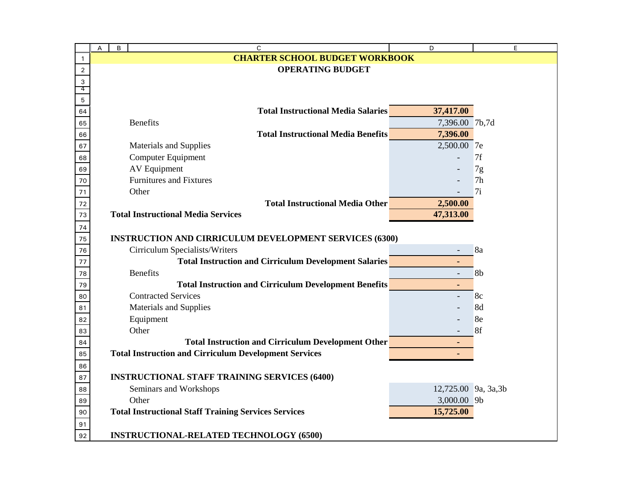|              | А | B | C                                                                                   | D                    | E              |
|--------------|---|---|-------------------------------------------------------------------------------------|----------------------|----------------|
| $\mathbf{1}$ |   |   | <b>CHARTER SCHOOL BUDGET WORKBOOK</b>                                               |                      |                |
| $\sqrt{2}$   |   |   | <b>OPERATING BUDGET</b>                                                             |                      |                |
| 3            |   |   |                                                                                     |                      |                |
| 4            |   |   |                                                                                     |                      |                |
| $\mathbf 5$  |   |   | <b>Total Instructional Media Salaries</b>                                           | 37,417.00            |                |
| 64           |   |   | <b>Benefits</b>                                                                     | 7,396.00 7b,7d       |                |
| 65<br>66     |   |   | <b>Total Instructional Media Benefits</b>                                           | 7,396.00             |                |
|              |   |   |                                                                                     | 2,500.00 7e          |                |
| 67           |   |   | Materials and Supplies<br>Computer Equipment                                        |                      | 7f             |
| 68           |   |   | <b>AV Equipment</b>                                                                 |                      |                |
| 69           |   |   | <b>Furnitures and Fixtures</b>                                                      |                      | 7g<br>7h       |
| 70           |   |   | Other                                                                               |                      | 7i             |
| 71           |   |   |                                                                                     |                      |                |
| 72           |   |   | <b>Total Instructional Media Other</b><br><b>Total Instructional Media Services</b> | 2,500.00             |                |
| 73           |   |   |                                                                                     | 47,313.00            |                |
| 74           |   |   |                                                                                     |                      |                |
| 75           |   |   | <b>INSTRUCTION AND CIRRICULUM DEVELOPMENT SERVICES (6300)</b>                       |                      |                |
| 76           |   |   | Cirriculum Specialists/Writers                                                      |                      | 8a             |
| 77           |   |   | <b>Total Instruction and Cirriculum Development Salaries</b>                        |                      |                |
| 78           |   |   | <b>Benefits</b>                                                                     |                      | 8 <sub>b</sub> |
| 79           |   |   | <b>Total Instruction and Cirriculum Development Benefits</b>                        | ٠                    |                |
| 80           |   |   | <b>Contracted Services</b>                                                          |                      | 8c             |
| 81           |   |   | <b>Materials and Supplies</b>                                                       |                      | 8d             |
| 82           |   |   | Equipment                                                                           |                      | 8e             |
| 83           |   |   | Other                                                                               |                      | 8f             |
| 84           |   |   | <b>Total Instruction and Cirriculum Development Other</b>                           |                      |                |
| 85           |   |   | <b>Total Instruction and Cirriculum Development Services</b>                        |                      |                |
| 86           |   |   |                                                                                     |                      |                |
| 87           |   |   | <b>INSTRUCTIONAL STAFF TRAINING SERVICES (6400)</b>                                 |                      |                |
| 88           |   |   | Seminars and Workshops                                                              | 12,725.00 9a, 3a, 3b |                |
| 89           |   |   | Other                                                                               | 3,000.00 9b          |                |
| 90           |   |   | <b>Total Instructional Staff Training Services Services</b>                         | 15,725.00            |                |
| 91           |   |   |                                                                                     |                      |                |
| 92           |   |   | <b>INSTRUCTIONAL-RELATED TECHNOLOGY (6500)</b>                                      |                      |                |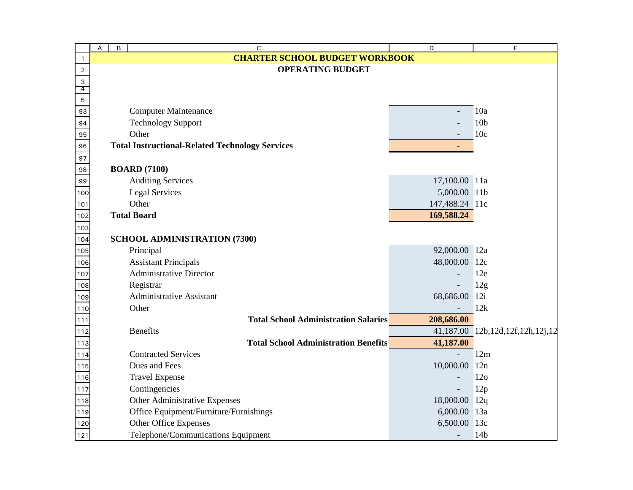|              | А | B | C                                                      | D                        | E                           |
|--------------|---|---|--------------------------------------------------------|--------------------------|-----------------------------|
| $\mathbf{1}$ |   |   | <b>CHARTER SCHOOL BUDGET WORKBOOK</b>                  |                          |                             |
| $\sqrt{2}$   |   |   | <b>OPERATING BUDGET</b>                                |                          |                             |
| 3            |   |   |                                                        |                          |                             |
| 4<br>5       |   |   |                                                        |                          |                             |
| 93           |   |   | <b>Computer Maintenance</b>                            |                          | 10a                         |
| 94           |   |   | <b>Technology Support</b>                              |                          | 10 <sub>b</sub>             |
| 95           |   |   | Other                                                  |                          | 10c                         |
| 96           |   |   | <b>Total Instructional-Related Technology Services</b> |                          |                             |
| 97           |   |   |                                                        |                          |                             |
| 98           |   |   | <b>BOARD</b> (7100)                                    |                          |                             |
| 99           |   |   | <b>Auditing Services</b>                               | 17,100.00 11a            |                             |
| 100          |   |   | <b>Legal Services</b>                                  | 5,000.00 11b             |                             |
| $101$        |   |   | Other                                                  | 147,488.24 11c           |                             |
| 102          |   |   | <b>Total Board</b>                                     | 169,588.24               |                             |
| 103          |   |   |                                                        |                          |                             |
| 104          |   |   | <b>SCHOOL ADMINISTRATION (7300)</b>                    |                          |                             |
| 105          |   |   | Principal                                              | 92,000.00 12a            |                             |
| 106          |   |   | <b>Assistant Principals</b>                            | 48,000.00                | 12c                         |
| 107          |   |   | <b>Administrative Director</b>                         |                          | 12e                         |
| 108          |   |   | Registrar                                              | $\overline{\phantom{a}}$ | 12g                         |
| 109          |   |   | <b>Administrative Assistant</b>                        | 68,686.00                | 12i                         |
| 110          |   |   | Other                                                  |                          | 12k                         |
| 111          |   |   | <b>Total School Administration Salaries</b>            | 208,686.00               |                             |
| 112          |   |   | <b>Benefits</b>                                        | 41,187.00                | 12b, 12d, 12f, 12h, 12j, 12 |
| 113          |   |   | <b>Total School Administration Benefits</b>            | 41,187.00                |                             |
| 114          |   |   | <b>Contracted Services</b>                             |                          | 12m                         |
| 115          |   |   | Dues and Fees                                          | 10,000.00                | 12n                         |
| 116          |   |   | <b>Travel Expense</b>                                  |                          | 12 <sub>o</sub>             |
| 117          |   |   | Contingencies                                          |                          | 12p                         |
| 118          |   |   | Other Administrative Expenses                          | 18,000.00                | 12q                         |
| 119          |   |   | Office Equipment/Furniture/Furnishings                 | 6,000.00                 | 13a                         |
| 120          |   |   | Other Office Expenses                                  | 6,500.00                 | 13c                         |
| 121          |   |   | Telephone/Communications Equipment                     |                          | 14 <sub>b</sub>             |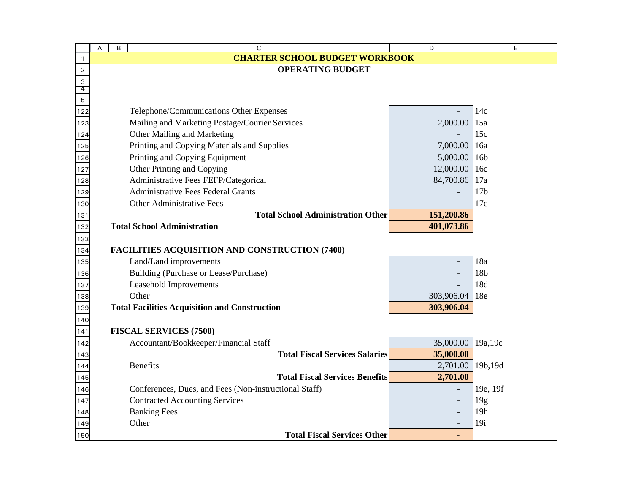|                  | A | B | C                                                     | D                 | E               |
|------------------|---|---|-------------------------------------------------------|-------------------|-----------------|
| $\mathbf{1}$     |   |   | <b>CHARTER SCHOOL BUDGET WORKBOOK</b>                 |                   |                 |
| $\boldsymbol{2}$ |   |   | <b>OPERATING BUDGET</b>                               |                   |                 |
| 3<br>4           |   |   |                                                       |                   |                 |
| 5                |   |   |                                                       |                   |                 |
| 122              |   |   | Telephone/Communications Other Expenses               |                   | 14c             |
| 123              |   |   | Mailing and Marketing Postage/Courier Services        | 2,000.00          | 15a             |
| 124              |   |   | Other Mailing and Marketing                           |                   | 15c             |
| 125              |   |   | Printing and Copying Materials and Supplies           | 7,000.00          | 16a             |
| 126              |   |   | Printing and Copying Equipment                        | 5,000.00 16b      |                 |
| 127              |   |   | Other Printing and Copying                            | 12,000.00         | 16c             |
| 128              |   |   | Administrative Fees FEFP/Categorical                  | 84,700.86 17a     |                 |
| 129              |   |   | <b>Administrative Fees Federal Grants</b>             |                   | 17 <sub>b</sub> |
| 130              |   |   | Other Administrative Fees                             |                   | 17c             |
| 131              |   |   | <b>Total School Administration Other</b>              | 151,200.86        |                 |
| 132              |   |   | <b>Total School Administration</b>                    | 401,073.86        |                 |
| 133              |   |   |                                                       |                   |                 |
| 134              |   |   | <b>FACILITIES ACQUISITION AND CONSTRUCTION (7400)</b> |                   |                 |
| 135              |   |   | Land/Land improvements                                |                   | 18a             |
| 136              |   |   | Building (Purchase or Lease/Purchase)                 |                   | 18b             |
| 137              |   |   | Leasehold Improvements                                |                   | 18d             |
| 138              |   |   | Other                                                 | 303,906.04 18e    |                 |
| 139              |   |   | <b>Total Facilities Acquisition and Construction</b>  | 303,906.04        |                 |
| 140              |   |   |                                                       |                   |                 |
| 141              |   |   | <b>FISCAL SERVICES (7500)</b>                         |                   |                 |
| 142              |   |   | Accountant/Bookkeeper/Financial Staff                 | 35,000.00 19a,19c |                 |
| 143              |   |   | <b>Total Fiscal Services Salaries</b>                 | 35,000.00         |                 |
| 144              |   |   | <b>Benefits</b>                                       | 2,701.00 19b,19d  |                 |
| 145              |   |   | <b>Total Fiscal Services Benefits</b>                 | 2,701.00          |                 |
| 146              |   |   | Conferences, Dues, and Fees (Non-instructional Staff) |                   | 19e, 19f        |
| 147              |   |   | <b>Contracted Accounting Services</b>                 |                   | 19g             |
| 148              |   |   | <b>Banking Fees</b>                                   |                   | 19h             |
| 149              |   |   | Other                                                 |                   | 19i             |
| 150              |   |   | <b>Total Fiscal Services Other</b>                    |                   |                 |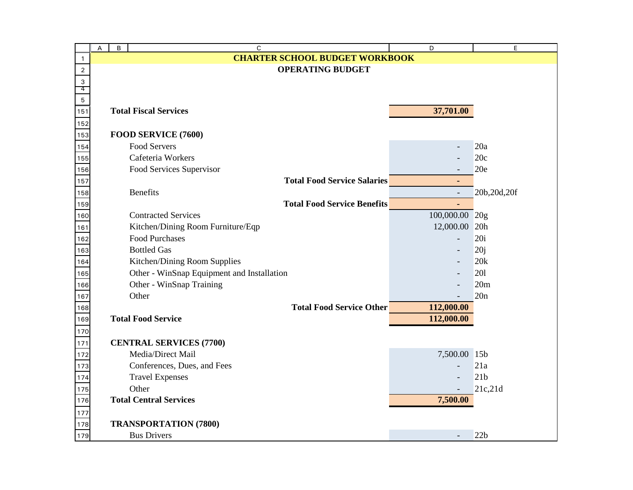|                  | B<br>А | C                                          | D              | E               |
|------------------|--------|--------------------------------------------|----------------|-----------------|
| $\mathbf{1}$     |        | <b>CHARTER SCHOOL BUDGET WORKBOOK</b>      |                |                 |
| $\mathbf 2$      |        | <b>OPERATING BUDGET</b>                    |                |                 |
| 3                |        |                                            |                |                 |
| 4<br>$\mathbf 5$ |        |                                            |                |                 |
| 151              |        | <b>Total Fiscal Services</b>               | 37,701.00      |                 |
|                  |        |                                            |                |                 |
| 152<br>153       |        | FOOD SERVICE (7600)                        |                |                 |
| 154              |        | <b>Food Servers</b>                        |                | 20a             |
| 155              |        | Cafeteria Workers                          |                | 20c             |
| 156              |        | Food Services Supervisor                   |                | 20e             |
| 157              |        | <b>Total Food Service Salaries</b>         | ÷              |                 |
| 158              |        | <b>Benefits</b>                            | $\overline{a}$ | 20b, 20d, 20f   |
| 159              |        | <b>Total Food Service Benefits</b>         | $\blacksquare$ |                 |
| 160              |        | <b>Contracted Services</b>                 | 100,000.00 20g |                 |
| 161              |        | Kitchen/Dining Room Furniture/Eqp          | 12,000.00 20h  |                 |
| 162              |        | <b>Food Purchases</b>                      |                | 20i             |
| 163              |        | <b>Bottled Gas</b>                         |                | 20j             |
| 164              |        | Kitchen/Dining Room Supplies               |                | 20k             |
| 165              |        | Other - WinSnap Equipment and Installation |                | 201             |
| 166              |        | Other - WinSnap Training                   |                | 20m             |
| 167              |        | Other                                      |                | 20n             |
| 168              |        | <b>Total Food Service Other</b>            | 112,000.00     |                 |
| 169              |        | <b>Total Food Service</b>                  | 112,000.00     |                 |
| 170              |        |                                            |                |                 |
| 171              |        | <b>CENTRAL SERVICES (7700)</b>             |                |                 |
| 172              |        | Media/Direct Mail                          | 7,500.00 15b   |                 |
| 173              |        | Conferences, Dues, and Fees                |                | 21a             |
| 174              |        | <b>Travel Expenses</b>                     |                | 21 <sub>b</sub> |
| 175              |        | Other                                      |                | 21c,21d         |
| 176              |        | <b>Total Central Services</b>              | 7,500.00       |                 |
| 177              |        |                                            |                |                 |
| 178              |        | <b>TRANSPORTATION (7800)</b>               |                |                 |
| 179              |        | <b>Bus Drivers</b>                         |                | 22b             |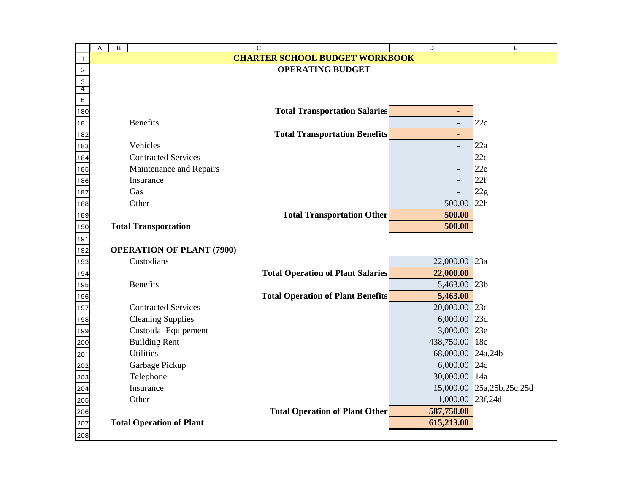|                    | B<br>А                           | C                                        | D                 | E                         |
|--------------------|----------------------------------|------------------------------------------|-------------------|---------------------------|
| $\mathbf{1}$       |                                  | <b>CHARTER SCHOOL BUDGET WORKBOOK</b>    |                   |                           |
| $\mathbf 2$        |                                  | <b>OPERATING BUDGET</b>                  |                   |                           |
| 3                  |                                  |                                          |                   |                           |
| 4                  |                                  |                                          |                   |                           |
| $\mathbf 5$<br>180 |                                  | <b>Total Transportation Salaries</b>     |                   |                           |
| 181                | <b>Benefits</b>                  |                                          |                   | 22c                       |
| 182                |                                  | <b>Total Transportation Benefits</b>     | ٠                 |                           |
| 183                | Vehicles                         |                                          |                   | 22a                       |
| 184                | <b>Contracted Services</b>       |                                          |                   | 22d                       |
| 185                | Maintenance and Repairs          |                                          |                   | 22e                       |
| 186                | Insurance                        |                                          |                   | 22f                       |
| 187                | Gas                              |                                          |                   | 22g                       |
| 188                | Other                            |                                          | 500.00 22h        |                           |
| 189                |                                  | <b>Total Transportation Other</b>        | 500.00            |                           |
| 190                | <b>Total Transportation</b>      |                                          | 500.00            |                           |
| 191                |                                  |                                          |                   |                           |
| 192                | <b>OPERATION OF PLANT (7900)</b> |                                          |                   |                           |
| 193                | Custodians                       |                                          | 22,000.00 23a     |                           |
| 194                |                                  | <b>Total Operation of Plant Salaries</b> | 22,000.00         |                           |
| 195                | <b>Benefits</b>                  |                                          | 5,463.00 23b      |                           |
| 196                |                                  | <b>Total Operation of Plant Benefits</b> | 5,463.00          |                           |
| 197                | <b>Contracted Services</b>       |                                          | 20,000.00 23c     |                           |
| 198                | <b>Cleaning Supplies</b>         |                                          | 6,000.00 23d      |                           |
| 199                | <b>Custoidal Equipement</b>      |                                          | 3,000.00 23e      |                           |
| 200                | <b>Building Rent</b>             |                                          | 438,750.00 18c    |                           |
| 201                | <b>Utilities</b>                 |                                          | 68,000.00 24a,24b |                           |
| 202                | Garbage Pickup                   |                                          | 6,000.00 24c      |                           |
| 203                | Telephone                        |                                          | 30,000.00 14a     |                           |
| 204                | Insurance                        |                                          |                   | 15,000.00 25a,25b,25c,25d |
| 205                | Other                            |                                          | 1,000.00 23f,24d  |                           |
| 206                |                                  | <b>Total Operation of Plant Other</b>    | 587,750.00        |                           |
| 207                | <b>Total Operation of Plant</b>  |                                          | 615,213.00        |                           |
| 208                |                                  |                                          |                   |                           |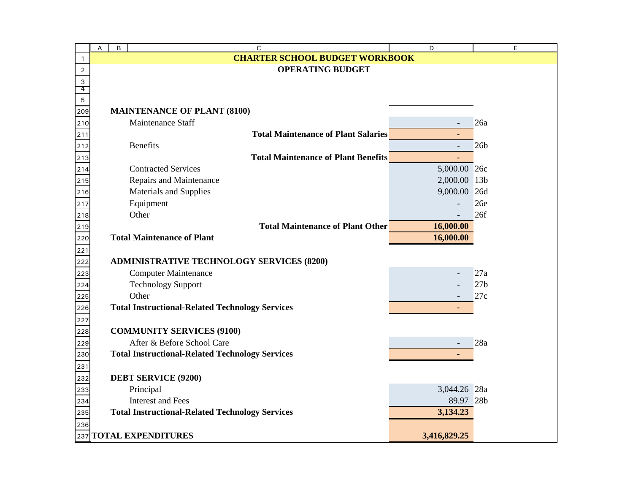|                | A | B | $\mathsf C$                                                              | D                 | E               |
|----------------|---|---|--------------------------------------------------------------------------|-------------------|-----------------|
| 1              |   |   | <b>CHARTER SCHOOL BUDGET WORKBOOK</b>                                    |                   |                 |
| $\overline{2}$ |   |   | <b>OPERATING BUDGET</b>                                                  |                   |                 |
| 3              |   |   |                                                                          |                   |                 |
| 4              |   |   |                                                                          |                   |                 |
| 5              |   |   | <b>MAINTENANCE OF PLANT (8100)</b>                                       |                   |                 |
| 209            |   |   | Maintenance Staff                                                        |                   | 26a             |
| 210            |   |   | <b>Total Maintenance of Plant Salaries</b>                               |                   |                 |
| 211            |   |   | <b>Benefits</b>                                                          |                   | 26 <sub>b</sub> |
| 212            |   |   |                                                                          |                   |                 |
| 213            |   |   | <b>Total Maintenance of Plant Benefits</b><br><b>Contracted Services</b> | ٠<br>5,000.00 26c |                 |
| 214            |   |   |                                                                          |                   |                 |
| 215            |   |   | Repairs and Maintenance                                                  | 2,000.00          | 13 <sub>b</sub> |
| 216            |   |   | <b>Materials and Supplies</b>                                            | 9,000.00          | 26d             |
| 217            |   |   | Equipment                                                                |                   | 26e             |
| 218            |   |   | Other                                                                    |                   | 26f             |
| 219            |   |   | <b>Total Maintenance of Plant Other</b>                                  | 16,000.00         |                 |
| 220            |   |   | <b>Total Maintenance of Plant</b>                                        | 16,000.00         |                 |
| 221            |   |   |                                                                          |                   |                 |
| 222            |   |   | <b>ADMINISTRATIVE TECHNOLOGY SERVICES (8200)</b>                         |                   |                 |
| 223            |   |   | <b>Computer Maintenance</b>                                              |                   | 27a             |
| 224            |   |   | <b>Technology Support</b>                                                |                   | 27 <sub>b</sub> |
| 225            |   |   | Other                                                                    |                   | 27c             |
| 226            |   |   | <b>Total Instructional-Related Technology Services</b>                   |                   |                 |
| 227            |   |   |                                                                          |                   |                 |
| 228            |   |   | <b>COMMUNITY SERVICES (9100)</b>                                         |                   |                 |
| 229            |   |   | After & Before School Care                                               |                   | 28a             |
| 230            |   |   | <b>Total Instructional-Related Technology Services</b>                   |                   |                 |
| 231            |   |   |                                                                          |                   |                 |
| 232            |   |   | <b>DEBT SERVICE (9200)</b>                                               |                   |                 |
| 233            |   |   | Principal                                                                | 3,044.26 28a      |                 |
| 234            |   |   | <b>Interest and Fees</b>                                                 | 89.97 28b         |                 |
| 235            |   |   | <b>Total Instructional-Related Technology Services</b>                   | 3,134.23          |                 |
| 236            |   |   |                                                                          |                   |                 |
|                |   |   | 237 TOTAL EXPENDITURES                                                   | 3,416,829.25      |                 |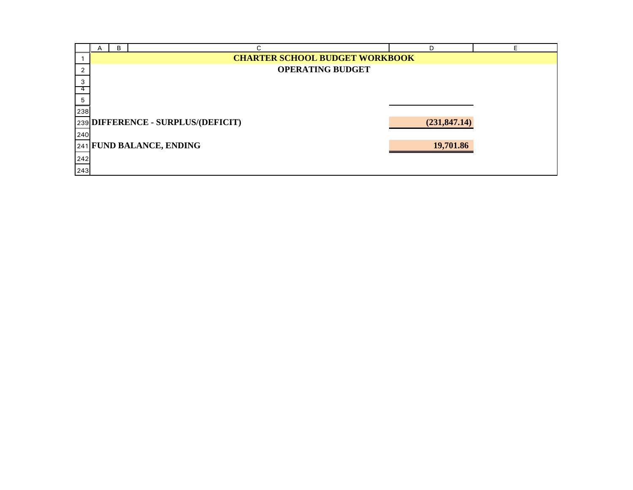|     | В |                                       | n             |  |
|-----|---|---------------------------------------|---------------|--|
|     |   | <b>CHARTER SCHOOL BUDGET WORKBOOK</b> |               |  |
|     |   | <b>OPERATING BUDGET</b>               |               |  |
| 3   |   |                                       |               |  |
| 4   |   |                                       |               |  |
| 5   |   |                                       |               |  |
| 238 |   |                                       |               |  |
|     |   | 239 DIFFERENCE - SURPLUS/(DEFICIT)    | (231, 847.14) |  |
| 240 |   |                                       |               |  |
|     |   | 241 FUND BALANCE, ENDING              | 19,701.86     |  |
| 242 |   |                                       |               |  |
| 243 |   |                                       |               |  |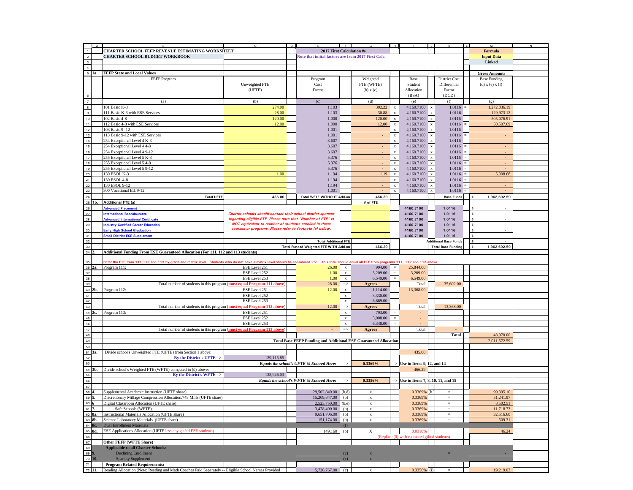|                                                                                                                     | $\overline{A}$ | в                                                                                                                                                                                                    | C                                                                                                                           | D |                                                                         |                              | G                         | <b>H</b>     |                                                 |              | к.                           | $\overline{L}$ | м                            | N |
|---------------------------------------------------------------------------------------------------------------------|----------------|------------------------------------------------------------------------------------------------------------------------------------------------------------------------------------------------------|-----------------------------------------------------------------------------------------------------------------------------|---|-------------------------------------------------------------------------|------------------------------|---------------------------|--------------|-------------------------------------------------|--------------|------------------------------|----------------|------------------------------|---|
| $\overline{1}$                                                                                                      |                | CHARTER SCHOOL FEFP REVENUE ESTIMATING WORKSHEET                                                                                                                                                     |                                                                                                                             |   | 2017 First Calculation #s                                               |                              |                           |              |                                                 |              |                              |                | <b>Formula</b>               |   |
|                                                                                                                     |                | <b>CHARTER SCHOOL BUDGET WORKBOOK</b>                                                                                                                                                                |                                                                                                                             |   | Note that intital factors are from 2017 First Calc.                     |                              |                           |              |                                                 |              |                              |                | <b>Input Data</b>            |   |
| $\overline{\mathbf{3}}$                                                                                             |                |                                                                                                                                                                                                      |                                                                                                                             |   |                                                                         |                              |                           |              |                                                 |              |                              |                | Linked                       |   |
| $\overline{4}$                                                                                                      |                |                                                                                                                                                                                                      |                                                                                                                             |   |                                                                         |                              |                           |              |                                                 |              |                              |                |                              |   |
| 5                                                                                                                   | 1a.            | <b>FEFP State and Local Values</b>                                                                                                                                                                   |                                                                                                                             |   |                                                                         |                              |                           |              |                                                 |              |                              |                | <b>Gross Amounts</b>         |   |
|                                                                                                                     |                | FEFP Program                                                                                                                                                                                         |                                                                                                                             |   | Program                                                                 |                              | Weighted                  |              | Base                                            |              | <b>District Cost</b>         |                | <b>Base Funding</b>          |   |
|                                                                                                                     |                |                                                                                                                                                                                                      | Unweighted FTE                                                                                                              |   | Cost                                                                    |                              | FTE (WFTE)                |              | Student                                         |              | Differential                 |                | $(d)$ x $(e)$ x $(f)$        |   |
|                                                                                                                     |                |                                                                                                                                                                                                      | (UFTE)                                                                                                                      |   | Factor                                                                  |                              | (b) x (c)                 |              | Allocation                                      |              | Factor                       |                |                              |   |
|                                                                                                                     |                |                                                                                                                                                                                                      |                                                                                                                             |   |                                                                         |                              |                           |              | (BSA)                                           |              | (DCD)                        |                |                              |   |
| $\overline{7}$                                                                                                      |                | (a)                                                                                                                                                                                                  | (b)                                                                                                                         |   | (c)                                                                     |                              | (d)                       |              | (e)                                             |              | (f)                          |                | (g)                          |   |
| $\overline{\mathbf{g}}$                                                                                             |                | 101 Basic K-3                                                                                                                                                                                        | 274.00                                                                                                                      |   | 1.103                                                                   |                              | 302.22                    | $\mathbf x$  | 4,160.7100 x                                    |              | $1.0116 =$                   |                | 1,272,036.19                 |   |
| $\overline{9}$                                                                                                      |                | 111 Basic K-3 with ESE Services                                                                                                                                                                      | 28.00                                                                                                                       |   | 1.103                                                                   |                              | 30.88                     | $\mathbf x$  | $4,160.7100 \times x$                           |              | $1.0116 =$                   |                | 129,973.12                   |   |
| 10                                                                                                                  |                | 102 Basic 4-8                                                                                                                                                                                        | 120.00                                                                                                                      |   | 1.000                                                                   |                              | 120.00                    | $\mathbf x$  | 4,160.7100                                      | $\mathbf{x}$ | $1.0116 =$                   |                | 505,076.91                   |   |
| 11                                                                                                                  |                | 112 Basic 4-8 with ESE Services                                                                                                                                                                      | 12.00                                                                                                                       |   | 1.000                                                                   |                              | 12.00                     | $\mathbf x$  | $4,160.7100 \times x$                           |              | $1.0116 =$                   |                | 50,507.69                    |   |
| 12                                                                                                                  |                | 103 Basic 9 -12                                                                                                                                                                                      |                                                                                                                             |   | 1.001                                                                   |                              |                           | $\mathbf{x}$ | $4,160.7100 \times x$                           |              | $1.0116 =$                   |                |                              |   |
| $13$                                                                                                                |                | 113 Basic 9-12 with ESE Services                                                                                                                                                                     |                                                                                                                             |   | 1.001                                                                   |                              |                           | $\mathbf x$  | $4,160.7100 \times x$                           |              | $1.0116 =$                   |                |                              |   |
| $\overline{14}$                                                                                                     |                | 254 Exceptional Level 4 K-3                                                                                                                                                                          |                                                                                                                             |   | 3.607                                                                   |                              |                           | $\mathbf x$  | $4,160.7100 \times$                             |              | $1.0116 =$                   |                |                              |   |
| 15                                                                                                                  |                | 254 Exceptional Level 4 4-8                                                                                                                                                                          |                                                                                                                             |   | 3.607                                                                   |                              |                           | $\mathbf{x}$ | $4,160.7100 \times x$                           |              | $1.0116 =$                   |                |                              |   |
| 16                                                                                                                  |                | 254 Exceptional Level 4 9-12                                                                                                                                                                         |                                                                                                                             |   | 3.607                                                                   |                              |                           | $\mathbf x$  | 4,160.7100                                      | $\mathbf{x}$ | $1.0116 =$                   |                |                              |   |
| $\overline{17}$                                                                                                     |                | 255 Exceptional Level 5 K-3                                                                                                                                                                          |                                                                                                                             |   | 5.376                                                                   |                              |                           | $\mathbf x$  | $4,160.7100 \times x$                           |              | $1.0116 =$                   |                |                              |   |
| 18                                                                                                                  |                | 255 Exceptional Level 5 4-8                                                                                                                                                                          |                                                                                                                             |   | 5.376                                                                   |                              |                           | $\mathbf{x}$ | $4,160.7100 \times x$                           |              | $1.0116 =$                   |                |                              |   |
| 19                                                                                                                  |                | 255 Exceptional Level 5 9-12                                                                                                                                                                         |                                                                                                                             |   | 5.376                                                                   |                              |                           | $\mathbf{x}$ | 4,160.7100 x                                    |              | $1.0116 =$                   |                |                              |   |
| 20                                                                                                                  |                | 130 ESOL K-3                                                                                                                                                                                         | 1.00                                                                                                                        |   | 1.194                                                                   |                              | 1.19                      | $\mathbf x$  | 4,160.7100 x                                    |              | 1.0116                       |                | 5,008.68                     |   |
| 21                                                                                                                  |                | 130 ESOL 4-8                                                                                                                                                                                         |                                                                                                                             |   | 1.194                                                                   |                              | $\sim$                    | $\mathbf x$  | 4,160.7100 x                                    |              | $1.0116 =$                   |                | $\sim$                       |   |
| 22                                                                                                                  |                | 130 ESOL 9-12                                                                                                                                                                                        |                                                                                                                             |   | 1.194                                                                   |                              |                           | $\mathbf x$  | $4,160.7100 \times x$                           |              | 1.0116                       |                | $\sim$                       |   |
| 23                                                                                                                  |                | 300 Vocational Ed. 9-12                                                                                                                                                                              |                                                                                                                             |   | 1.001                                                                   |                              |                           | $\mathbf x$  | 4,160.7100                                      | $\mathbf x$  | 1.0116                       |                |                              |   |
|                                                                                                                     |                |                                                                                                                                                                                                      |                                                                                                                             |   |                                                                         |                              |                           |              |                                                 |              |                              |                |                              |   |
| 25                                                                                                                  | 1 <sub>b</sub> | <b>Total UFTE</b><br><b>Additional FTE (a)</b>                                                                                                                                                       | 435.00                                                                                                                      |   | Total WFTE WITHOUT Add-on                                               |                              | 466.29                    |              |                                                 |              | <b>Base Funds</b>            |                | $\ddot{s}$<br>1,962,602.59   |   |
|                                                                                                                     |                |                                                                                                                                                                                                      |                                                                                                                             |   |                                                                         |                              | # of FTE                  |              |                                                 |              |                              |                | ś                            |   |
| 27                                                                                                                  |                | <b>Advanced Placement</b>                                                                                                                                                                            |                                                                                                                             |   |                                                                         |                              |                           |              | 4160.7100                                       |              | 1.0116                       |                |                              |   |
| 28                                                                                                                  |                | <b>International Baccalaureate</b>                                                                                                                                                                   | Charter schools should contact their school district sponsor<br>regarding eligible FTE. Please note that "Number of FTE" is |   |                                                                         |                              |                           |              | 4160.7100                                       |              | 1.0116                       |                | \$<br>\$                     |   |
|                                                                                                                     |                | <b>Advanced International Certificate</b>                                                                                                                                                            | NOT equivalent to number of students enrolled in these                                                                      |   |                                                                         |                              |                           |              | 4160.7100                                       |              | 1.0116                       |                |                              |   |
|                                                                                                                     |                | <b>ndustry Certified Career Education</b>                                                                                                                                                            | courses or programs. Please refer to footnote (a) below.                                                                    |   |                                                                         |                              |                           |              | 4160.7100                                       |              | 1.0116                       |                | ŝ                            |   |
| 30<br>31                                                                                                            |                | <b>Early High School Graduation</b><br><b>Small District ESE Supplement</b>                                                                                                                          |                                                                                                                             |   |                                                                         |                              |                           |              | 4160.7100                                       |              | 1.0116                       |                | \$                           |   |
|                                                                                                                     |                |                                                                                                                                                                                                      |                                                                                                                             |   |                                                                         |                              |                           |              | 4160.7100                                       |              | 1.0116                       |                | \$<br>$\mathbf{s}$           |   |
| 32                                                                                                                  |                |                                                                                                                                                                                                      |                                                                                                                             |   | <b>Total Additional FTE</b>                                             |                              |                           |              |                                                 |              | <b>Additional Base Funds</b> |                |                              |   |
| 34                                                                                                                  |                | Additional Funding From ESE Guaranteed Allocation (For 111, 112 and 113 students)                                                                                                                    |                                                                                                                             |   | Total Funded Weighted FTE WITH Add-on                                   |                              | 466.29                    |              |                                                 |              | <b>Total Base Funding</b>    |                | 1,962,602.59<br>$\mathbf{s}$ |   |
|                                                                                                                     |                |                                                                                                                                                                                                      |                                                                                                                             |   |                                                                         |                              |                           |              |                                                 |              |                              |                |                              |   |
|                                                                                                                     |                | Enter the FTE from 111,112 and 113 by grade and matrix level. Students who do not have a matrix level should be considered 251. This total should equal all FTE from programs 111, 112 and 113 above |                                                                                                                             |   |                                                                         |                              |                           |              |                                                 |              |                              |                |                              |   |
| 36                                                                                                                  | 2э.            | Program 111:                                                                                                                                                                                         | ESE Level 251                                                                                                               |   | 26.00                                                                   | $\mathbf x$                  | 994.00                    | $\equiv$     | 25,844.00                                       |              |                              |                |                              |   |
| 37                                                                                                                  |                |                                                                                                                                                                                                      | ESE Level 252                                                                                                               |   | 1.00                                                                    | $\mathbf x$                  | 3,209.00                  | $=$          | 3,209.00                                        |              |                              |                |                              |   |
| 38                                                                                                                  |                |                                                                                                                                                                                                      | ESE Level 253                                                                                                               |   | 1.00                                                                    | $\mathbf x$                  | 6,549.00                  | $=$          | 6,549.00                                        |              |                              |                |                              |   |
| 39                                                                                                                  |                | Total number of students in this program (must equal Program 111 above)                                                                                                                              |                                                                                                                             |   | 28.00                                                                   | $\Rightarrow$                | Agrees                    |              | Total                                           |              | 35,602.00                    |                |                              |   |
| 40                                                                                                                  | 2b.            | Program 112:                                                                                                                                                                                         | ESE Level 251                                                                                                               |   | 12.00                                                                   | $\mathbf x$                  | 1,114.00                  | $\equiv$     | 13,368.00                                       |              |                              |                |                              |   |
| 41                                                                                                                  |                |                                                                                                                                                                                                      | ESE Level 252                                                                                                               |   |                                                                         | $\mathbf x$                  | 3,330.00                  | $=$ $\,$     |                                                 |              |                              |                |                              |   |
| 42                                                                                                                  |                |                                                                                                                                                                                                      | ESE Level 253                                                                                                               |   |                                                                         | $\mathbf x$                  | 6,669.00                  | $\equiv$     |                                                 |              |                              |                |                              |   |
| 43                                                                                                                  |                | Total number of students in this program (must equal Program 112 above)                                                                                                                              |                                                                                                                             |   | 12.00                                                                   | $\Rightarrow$                | <b>Agrees</b>             |              | Total                                           |              | 13,368.00                    |                |                              |   |
| 44                                                                                                                  | 2c             | Program 113:                                                                                                                                                                                         | ESE Level 251                                                                                                               |   |                                                                         |                              | 793.00                    | $=$          | $\overline{\phantom{a}}$                        |              |                              |                |                              |   |
| 45                                                                                                                  |                |                                                                                                                                                                                                      | ESE Level 252                                                                                                               |   |                                                                         | $\mathbf x$                  | 3,008.00                  | $=$ $\,$     |                                                 |              |                              |                |                              |   |
| 46                                                                                                                  |                |                                                                                                                                                                                                      | ESE Level 253                                                                                                               |   |                                                                         | $\mathbf x$                  | 6,348.00                  | $\equiv$     |                                                 |              |                              |                |                              |   |
| 47                                                                                                                  |                | Total number of students in this program (must equal Program 113 above)                                                                                                                              |                                                                                                                             |   |                                                                         | $\mathbf x$<br>$\Rightarrow$ | Agrees                    |              | Total                                           |              |                              |                |                              |   |
| 48                                                                                                                  |                |                                                                                                                                                                                                      |                                                                                                                             |   |                                                                         |                              |                           |              |                                                 |              | <b>Total</b>                 |                | 48,970.00                    |   |
| 49                                                                                                                  |                |                                                                                                                                                                                                      |                                                                                                                             |   |                                                                         |                              |                           |              |                                                 |              |                              |                | 2,011,572.59                 |   |
|                                                                                                                     |                |                                                                                                                                                                                                      |                                                                                                                             |   | <b>Total Base FEFP Funding and Additional ESE Guaranteed Allocation</b> |                              |                           |              |                                                 |              |                              |                |                              |   |
| 50                                                                                                                  |                |                                                                                                                                                                                                      |                                                                                                                             |   |                                                                         |                              |                           |              |                                                 |              |                              |                |                              |   |
| 51<br>52                                                                                                            | 3a.            | Divide school's Unweighted FTE (UFTE) from Section 1 above:                                                                                                                                          | 129,115.85                                                                                                                  |   |                                                                         |                              |                           |              | 435.00                                          |              |                              |                |                              |   |
|                                                                                                                     |                | By the District's UFTE=>                                                                                                                                                                             |                                                                                                                             |   | Equals the school's UFTE % Entered Here:                                |                              | 0.3369%                   |              |                                                 |              |                              |                |                              |   |
| 53                                                                                                                  |                |                                                                                                                                                                                                      |                                                                                                                             |   |                                                                         | $\Rightarrow$                |                           |              | $\Rightarrow$ Use in Items 9, 12, and 14        |              |                              |                |                              |   |
| 54                                                                                                                  | 3b.            | Divide school's Weighted FTE (WFTE) computed in (d) above:                                                                                                                                           |                                                                                                                             |   |                                                                         |                              |                           |              | 466.29                                          |              |                              |                |                              |   |
| 55                                                                                                                  |                | By the District's WFTE =>                                                                                                                                                                            | 138,946.03                                                                                                                  |   |                                                                         |                              |                           |              |                                                 |              |                              |                |                              |   |
| 56                                                                                                                  |                |                                                                                                                                                                                                      |                                                                                                                             |   | Equals the school's WFTE % Entered Here:                                | $\Rightarrow$                | 0.3356%                   |              | $\Rightarrow$ Use in Items 7, 8, 10, 11, and 15 |              |                              |                |                              |   |
| 57                                                                                                                  |                |                                                                                                                                                                                                      |                                                                                                                             |   |                                                                         |                              |                           |              |                                                 |              |                              |                |                              |   |
| 58                                                                                                                  |                | Supplemental Academic Instruction (UFTE share)                                                                                                                                                       |                                                                                                                             |   | 29,502,849.00                                                           | (b,d)                        | $\mathbf x$               |              | $0.3369\%$ (b.)                                 |              | $\equiv$                     |                | 99,395.10                    |   |
| 59                                                                                                                  |                | Discretionary Millage Compression Allocation.748 Mills (UFTE share)                                                                                                                                  |                                                                                                                             |   | 15,209,847.00                                                           | (b)                          | $\mathbf X$               |              | 0.3369%                                         |              | $=$                          |                | 51,241.97                    |   |
| $\begin{array}{@{}c@{\hspace{1em}}c@{\hspace{1em}}c}\n 60 & 6 \\ \hline\n 61 & 7 \\ \hline\n 62 & 8a\n \end{array}$ |                | Digital Classroom Allocation (UFTE share)                                                                                                                                                            |                                                                                                                             |   | 2,523,750.00 (b,e)                                                      |                              | $\boldsymbol{\mathrm{x}}$ |              | 0.3369%                                         |              |                              |                | 8,502.51                     |   |
|                                                                                                                     |                | Safe Schools (WFTE)                                                                                                                                                                                  |                                                                                                                             |   | 3,478,400.00                                                            | (b)                          | $\mathbf x$               |              | 0.3369%                                         |              | $\quad =$                    |                | 11,718.73                    |   |
|                                                                                                                     |                | Instructional Materials Allocation (UFTE share)                                                                                                                                                      |                                                                                                                             |   | 9,651,706.00                                                            | (b)                          | $\mathbf x$               |              | 0.3369%                                         |              | $\equiv$                     |                | 32,516.60                    |   |
| 63 8b.                                                                                                              |                | Science Laboratory Materials (UFTE share)                                                                                                                                                            |                                                                                                                             |   | 151,174.00                                                              | (b)                          | $\mathbf x$               |              | 0.3369%                                         |              | $=$                          |                | 509.31                       |   |
| 64 8c.                                                                                                              |                | Dual Enrollment Materials                                                                                                                                                                            |                                                                                                                             |   |                                                                         | (f)                          |                           |              |                                                 |              |                              |                |                              |   |
|                                                                                                                     |                | ESE Applications Allocation (UFTE less any gisfed ESE students)                                                                                                                                      |                                                                                                                             |   | 149,160                                                                 | (b)                          | X                         |              | 0.0310%                                         |              |                              |                | 46.24                        |   |
|                                                                                                                     |                |                                                                                                                                                                                                      |                                                                                                                             |   |                                                                         |                              |                           |              | (Replace (0) with estimated gifted students)    |              |                              |                |                              |   |
|                                                                                                                     |                | Other FEFP (WFTE Share)                                                                                                                                                                              |                                                                                                                             |   |                                                                         |                              |                           |              |                                                 |              |                              |                |                              |   |
| 64 65 8d.<br>66 67 68 67 68 69 9.<br>70 10.                                                                         |                | <b>Applicable to all Charter Schools:</b>                                                                                                                                                            |                                                                                                                             |   |                                                                         |                              |                           |              |                                                 |              |                              |                |                              |   |
|                                                                                                                     |                | <b>Declining Enrollment</b>                                                                                                                                                                          |                                                                                                                             |   |                                                                         | (c)                          | $\mathbf{x}$              |              |                                                 |              |                              |                |                              |   |
|                                                                                                                     |                | <b>Sparsity Supplement</b>                                                                                                                                                                           |                                                                                                                             |   |                                                                         | (c)                          | $\mathbf{x}$              |              |                                                 |              |                              |                |                              |   |
|                                                                                                                     |                | <b>Program Related Requirements:</b>                                                                                                                                                                 |                                                                                                                             |   |                                                                         |                              |                           |              |                                                 |              |                              |                |                              |   |
| 72 11.                                                                                                              |                | Reading Allocation (Note: Reading and Math Coaches Paid Separately -- Eligible School Names Provided                                                                                                 |                                                                                                                             |   | $5,726,767.00$ (c)                                                      |                              | $\mathbf x$               |              | $0.3356\%$ (i)                                  |              |                              |                | 19,219.03                    |   |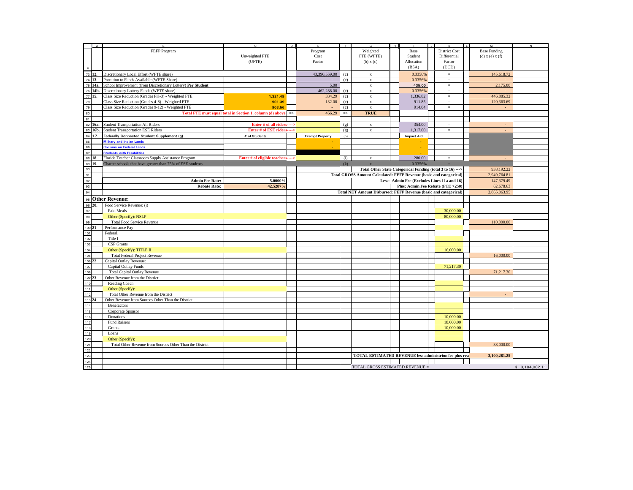|                                               | A    |                                                                                                      | c                                                         | Þ             |                        | $\overline{F}$ | G                                                                   | $\overline{H}$ |                                             |                      | F | м                     | N              |
|-----------------------------------------------|------|------------------------------------------------------------------------------------------------------|-----------------------------------------------------------|---------------|------------------------|----------------|---------------------------------------------------------------------|----------------|---------------------------------------------|----------------------|---|-----------------------|----------------|
|                                               |      | FEFP Program                                                                                         |                                                           |               | Program                |                | Weighted                                                            |                | Base                                        | <b>District Cost</b> |   | <b>Base Funding</b>   |                |
|                                               |      |                                                                                                      | Unweighted FTE                                            |               | Cost                   |                | FTE (WFTE)                                                          |                | Student                                     | Differential         |   | $(d)$ x $(e)$ x $(f)$ |                |
|                                               |      |                                                                                                      | (UFTE)                                                    |               | Factor                 |                | (b) x (c)                                                           |                | Allocation                                  | Factor               |   |                       |                |
| $\,6\,$                                       |      |                                                                                                      |                                                           |               |                        |                |                                                                     |                | (BSA)                                       | (DCD)                |   |                       |                |
|                                               |      |                                                                                                      |                                                           |               |                        |                |                                                                     |                |                                             |                      |   |                       |                |
| $\frac{1}{73}$ 12.                            |      | Discretionary Local Effort (WFTE share)                                                              |                                                           |               | 43,390,559.00          | (c)            | $\mathbf x$                                                         |                | 0.3356%                                     | $=$                  |   | 145,618.72            |                |
| 74 13.                                        |      | Proration to Funds Available (WFTE Share)                                                            |                                                           |               |                        | (c)            | $\mathbf x$                                                         |                | 0.3356%                                     | $\equiv$             |   |                       |                |
| 75                                            | 14a. | School Improvement (from Discretionary Lottery) Per Student                                          |                                                           |               | 5.00                   |                | $\mathbf x$                                                         |                | 435.00                                      | $=$                  |   | 2,175.00              |                |
|                                               |      | 76 14b. Discretionary Lottery Funds (WFTE share)<br>77 15. Class Size Reduction (Grades PK-3) - Weig |                                                           |               | 462,288.00             | (c)            | $\mathbf x$                                                         |                | 0.3356%                                     | $=$                  |   |                       |                |
|                                               |      | Class Size Reduction (Grades PK-3) - Weighted FTE                                                    | 1,321.49                                                  |               | 334.29                 | (c)            | $\mathbf x$                                                         |                | 1,336.82                                    | $=$                  |   | 446,885.32            |                |
| 78                                            |      | Class Size Reduction (Grades 4-8) - Weighted FTE                                                     | 901.39                                                    |               | 132.00                 | (c)            | $\mathbf x$                                                         |                | 911.85                                      | $=$                  |   | 120,363.69            |                |
|                                               |      | Class Size Reduction (Grades 9-12) - Weighted FTE                                                    | 903.56                                                    |               |                        | (c)            | $\mathbf x$                                                         |                | 914.04                                      | $\equiv$             |   |                       |                |
| $\begin{array}{c} 79 \\ 80 \\ 81 \end{array}$ |      |                                                                                                      | Total FTE must equal total in Section 1, column (d) above | $\Rightarrow$ | 466.29                 | $\Rightarrow$  | <b>TRUE</b>                                                         |                |                                             |                      |   |                       |                |
|                                               |      |                                                                                                      |                                                           |               |                        |                |                                                                     |                |                                             |                      |   |                       |                |
|                                               |      |                                                                                                      |                                                           |               |                        |                |                                                                     |                |                                             |                      |   |                       |                |
| $\overline{82}$                               | 16a. | <b>Student Transportation All Riders</b>                                                             | Enter # of all riders---->                                |               |                        | (g)            | $\mathbf x$                                                         |                | 354.00                                      | $=$                  |   |                       |                |
|                                               |      | 83 16b. Student Transportation ESE Riders                                                            | Enter # of ESE riders---->                                |               |                        | (g)            | $\mathbf x$                                                         |                | 1,317.00                                    | $\equiv$             |   |                       |                |
| 84 17.                                        |      | Federally Connected Student Supplement (g)                                                           | # of Students                                             |               | <b>Exempt Property</b> | (h)            |                                                                     |                | <b>Impact Aid</b>                           |                      |   |                       |                |
| 85                                            |      | <b>Military and Indian Lands</b>                                                                     |                                                           |               |                        |                |                                                                     |                |                                             |                      |   |                       |                |
| 86                                            |      | <b>Civilians on Federal Lands</b>                                                                    |                                                           |               |                        |                |                                                                     |                |                                             |                      |   |                       |                |
| 87                                            |      | <b>Students with Disabilities</b>                                                                    |                                                           |               |                        |                |                                                                     |                |                                             |                      |   |                       |                |
| 88 18.                                        |      | Florida Teacher Classroom Supply Assistance Program                                                  | Enter # of eligible teachers---->                         |               |                        | (i)            | $\bf{X}$                                                            |                | 280.00                                      | $\equiv$             |   |                       |                |
| 89                                            | 19.  | Charter schools that have greater than 75% of ESE students.                                          |                                                           |               |                        | (k)            | $\overline{\mathbf{x}}$                                             |                | 0.3356%                                     | $=$                  |   |                       |                |
| 90                                            |      |                                                                                                      |                                                           |               |                        |                | Total Other State Categorical Funding (total 3 to 16) --->          |                |                                             |                      |   | 938.192.22            |                |
|                                               |      |                                                                                                      |                                                           |               |                        |                | Total GROSS Amount Calculated: FEFP Revenue (basic and categorical) |                |                                             |                      |   | 2,949,764.81          |                |
| $\frac{91}{92}$                               |      |                                                                                                      |                                                           |               |                        |                |                                                                     |                |                                             |                      |   |                       |                |
|                                               |      | <b>Admin Fee Rate:</b>                                                                               | 5.0000%                                                   |               |                        |                |                                                                     |                | Less: Admin Fee (Excludes Lines 11a and 16) |                      |   | 147,379.49            |                |
| $\begin{array}{c} 93 \\ 94 \end{array}$       |      | <b>Rebate Rate:</b>                                                                                  | 42.5287%                                                  |               |                        |                |                                                                     |                | Plus: Admin Fee Rebate (FTE >250)           |                      |   | 62,678.63             |                |
|                                               |      |                                                                                                      |                                                           |               |                        |                | Total NET Amount Disbursed: FEFP Revenue (basic and categorical)    |                |                                             |                      |   | 2,865,063.95          |                |
| 95                                            |      | <b>Other Revenue:</b>                                                                                |                                                           |               |                        |                |                                                                     |                |                                             |                      |   |                       |                |
| 96                                            | 20.  | Food Service Revenue: (j)                                                                            |                                                           |               |                        |                |                                                                     |                |                                             |                      |   |                       |                |
| 97                                            |      | Paid Meals                                                                                           |                                                           |               |                        |                |                                                                     |                |                                             | 30,000.00            |   |                       |                |
| 98                                            |      | Other (Specify): NSLP                                                                                |                                                           |               |                        |                |                                                                     |                |                                             | 80,000,00            |   |                       |                |
| 99                                            |      | <b>Total Food Service Revenue</b>                                                                    |                                                           |               |                        |                |                                                                     |                |                                             |                      |   | 110,000.00            |                |
|                                               | 21   |                                                                                                      |                                                           |               |                        |                |                                                                     |                |                                             |                      |   |                       |                |
| 100                                           |      | Performance Pay                                                                                      |                                                           |               |                        |                |                                                                     |                |                                             |                      |   |                       |                |
| 101<br>102                                    |      | Federal.                                                                                             |                                                           |               |                        |                |                                                                     |                |                                             |                      |   |                       |                |
|                                               |      | Title I                                                                                              |                                                           |               |                        |                |                                                                     |                |                                             |                      |   |                       |                |
|                                               |      | <b>CSP</b> Grants                                                                                    |                                                           |               |                        |                |                                                                     |                |                                             |                      |   |                       |                |
|                                               |      | Other (Specify): TITLE II                                                                            |                                                           |               |                        |                |                                                                     |                |                                             | 16,000.00            |   |                       |                |
| 103<br>104<br>105<br>106                      |      | <b>Total Federal Project Revenue</b>                                                                 |                                                           |               |                        |                |                                                                     |                |                                             |                      |   | 16,000.00             |                |
|                                               | 22   | Capital Outlay Revenue:                                                                              |                                                           |               |                        |                |                                                                     |                |                                             |                      |   |                       |                |
| 107                                           |      | Capital Outlay Funds                                                                                 |                                                           |               |                        |                |                                                                     |                |                                             | 71,217.30            |   |                       |                |
| 108                                           |      | <b>Total Capital Outlay Revenue</b>                                                                  |                                                           |               |                        |                |                                                                     |                |                                             |                      |   | 71.217.30             |                |
| 109                                           |      | Other Revenue from the District:                                                                     |                                                           |               |                        |                |                                                                     |                |                                             |                      |   |                       |                |
| 110                                           |      | Reading Coach                                                                                        |                                                           |               |                        |                |                                                                     |                |                                             |                      |   |                       |                |
| 111                                           |      | Other (Specify):                                                                                     |                                                           |               |                        |                |                                                                     |                |                                             |                      |   |                       |                |
| 112                                           |      | Total Other Revenue from the District                                                                |                                                           |               |                        |                |                                                                     |                |                                             |                      |   |                       |                |
| 113                                           |      | Other Revenue from Sources Other Than the District:                                                  |                                                           |               |                        |                |                                                                     |                |                                             |                      |   |                       |                |
| 114                                           |      | Benefactors                                                                                          |                                                           |               |                        |                |                                                                     |                |                                             |                      |   |                       |                |
| 115                                           |      |                                                                                                      |                                                           |               |                        |                |                                                                     |                |                                             |                      |   |                       |                |
|                                               |      | Corporate Sponsor                                                                                    |                                                           |               |                        |                |                                                                     |                |                                             |                      |   |                       |                |
| 116<br>117                                    |      | Donations                                                                                            |                                                           |               |                        |                |                                                                     |                |                                             | 10,000.00            |   |                       |                |
|                                               |      | <b>Fund Raisers</b>                                                                                  |                                                           |               |                        |                |                                                                     |                |                                             | 18,000.00            |   |                       |                |
| 118                                           |      | Grants                                                                                               |                                                           |               |                        |                |                                                                     |                |                                             | 10,000.00            |   |                       |                |
| 119                                           |      | Loans                                                                                                |                                                           |               |                        |                |                                                                     |                |                                             |                      |   |                       |                |
| 120                                           |      | Other (Specify):                                                                                     |                                                           |               |                        |                |                                                                     |                |                                             |                      |   |                       |                |
| 121                                           |      | Total Other Revenue from Sources Other Than the District                                             |                                                           |               |                        |                |                                                                     |                |                                             |                      |   | 38,000,00             |                |
| 122                                           |      |                                                                                                      |                                                           |               |                        |                |                                                                     |                |                                             |                      |   |                       |                |
| 123                                           |      |                                                                                                      |                                                           |               |                        |                | <b>TOTAL ESTIMATED REVENUE less administrion fee plus rea</b>       |                |                                             |                      |   | 3,100,281.25          |                |
| 124                                           |      |                                                                                                      |                                                           |               |                        |                |                                                                     |                |                                             |                      |   |                       |                |
| 125                                           |      |                                                                                                      |                                                           |               |                        |                | TOTAL GROSS ESTIMATED REVENUE =                                     |                |                                             |                      |   |                       | \$3,184,982.11 |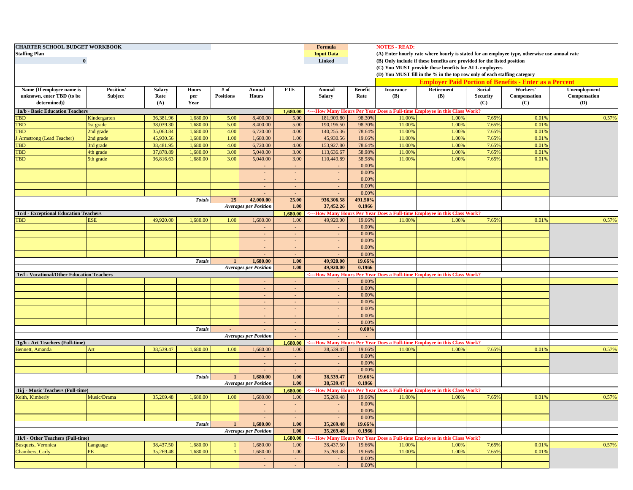| <b>Staffing Plan</b>                       | <b>CHARTER SCHOOL BUDGET WORKBOOK</b><br>$\bf{0}$ |                                                                           |                      |                  |                              |              |                         |                  | <b>NOTES - READ:</b><br>(A) Enter hourly rate where hourly is stated for an employee type, otherwise use annual rate<br>(B) Only include if these benefits are provided for the listed position<br>(C) You MUST provide these benefits for ALL employees |                                                                           |                 |                                                               |              |
|--------------------------------------------|---------------------------------------------------|---------------------------------------------------------------------------|----------------------|------------------|------------------------------|--------------|-------------------------|------------------|----------------------------------------------------------------------------------------------------------------------------------------------------------------------------------------------------------------------------------------------------------|---------------------------------------------------------------------------|-----------------|---------------------------------------------------------------|--------------|
|                                            |                                                   |                                                                           |                      |                  |                              |              |                         |                  |                                                                                                                                                                                                                                                          | (D) You MUST fill in the % in the top row only of each staffing category  |                 |                                                               |              |
|                                            |                                                   |                                                                           |                      |                  |                              |              |                         |                  |                                                                                                                                                                                                                                                          |                                                                           |                 | <b>Employer Paid Portion of Benefits - Enter as a Percent</b> |              |
| Name {If employee name is                  | <b>Position</b> /                                 | Salary                                                                    | <b>Hours</b>         | # of             | Annual                       | <b>FTE</b>   | Annual                  | <b>Benefit</b>   | <b>Insurance</b>                                                                                                                                                                                                                                         | Retirement                                                                | Social          | Workers'                                                      | Unemployment |
| unknown, enter TBD (to be                  | Subject                                           | Rate                                                                      | per                  | <b>Positions</b> | <b>Hours</b>                 |              | <b>Salary</b>           | Rate             | <b>(B)</b>                                                                                                                                                                                                                                               | <b>(B)</b>                                                                | <b>Security</b> | Compensation                                                  | Compensation |
| determined)}                               |                                                   | (A)                                                                       | Year                 |                  |                              |              |                         |                  |                                                                                                                                                                                                                                                          |                                                                           | (C)             | (C)                                                           | <b>(D)</b>   |
| 1a/b - Basic Education Teachers            |                                                   |                                                                           |                      |                  |                              | 1,680.00     |                         |                  |                                                                                                                                                                                                                                                          | <---How Many Hours Per Year Does a Full-time Employee in this Class Work? |                 |                                                               |              |
| <b>TBD</b>                                 | Kindergarten                                      | 36,381.96                                                                 | 1,680.00             | 5.00             | 8,400.00                     | 5.00         | 181,909.80              | 98.30%           | 11.00%                                                                                                                                                                                                                                                   | 1.00%                                                                     | 7.65%           | 0.01%                                                         | 0.57%        |
| TBD                                        | 1st grade                                         | 38,039.30                                                                 | 1,680.00             | 5.00             | 8,400.00                     | 5.00         | 190,196.50              | 98.30%           | 11.00%                                                                                                                                                                                                                                                   | 1.00%                                                                     | 7.65%           | 0.01%                                                         |              |
| TBD                                        | 2nd grade                                         | 35,063.84                                                                 | 1,680.00             | 4.00             | 6,720.00                     | 4.00         | 140,255.36              | 78.64%           | 11.00%                                                                                                                                                                                                                                                   | 1.009                                                                     | 7.65%           | 0.01%                                                         |              |
| J Armstrong (Lead Teacher)<br>TBD          | 2nd grade                                         | 45,930.56<br>38,481.95                                                    | 1,680.00<br>1,680.00 | 1.00<br>4.00     | 1,680.00<br>6,720.00         | 1.00<br>4.00 | 45,930.56<br>153,927.80 | 19.66%<br>78.64% | 11.00%<br>11.00%                                                                                                                                                                                                                                         | 1.009<br>1.00%                                                            | 7.65%<br>7.65%  | 0.01%<br>0.01%                                                |              |
| <b>TBD</b>                                 | 3rd grade                                         | 37,878.89                                                                 | 1,680.00             | 3.00             | 5,040.00                     | 3.00         | 113,636.67              | 58.98%           | 11.00%                                                                                                                                                                                                                                                   | 1.009                                                                     | 7.65%           | 0.01%                                                         |              |
| TBD                                        | 4th grade<br>5th grade                            | 36,816.63                                                                 | 1,680.00             | 3.00             | 5,040.00                     | 3.00         | 110,449.89              | 58.989           | 11.00%                                                                                                                                                                                                                                                   | 1.009                                                                     | 7.65%           | 0.01%                                                         |              |
|                                            |                                                   |                                                                           |                      |                  |                              |              | $\sim$                  | 0.00%            |                                                                                                                                                                                                                                                          |                                                                           |                 |                                                               |              |
|                                            |                                                   |                                                                           |                      |                  | $\sim$                       | $\sim$       | $\sim$                  | 0.00%            |                                                                                                                                                                                                                                                          |                                                                           |                 |                                                               |              |
|                                            |                                                   |                                                                           |                      |                  | $\sim$                       |              | $\sim$                  | 0.00%            |                                                                                                                                                                                                                                                          |                                                                           |                 |                                                               |              |
|                                            |                                                   |                                                                           |                      |                  | $\sim$                       | $\sim$       | $\sim$                  | 0.00%            |                                                                                                                                                                                                                                                          |                                                                           |                 |                                                               |              |
|                                            |                                                   |                                                                           |                      |                  | $\sim$                       | $\sim$       | $\sim$                  | 0.00%            |                                                                                                                                                                                                                                                          |                                                                           |                 |                                                               |              |
|                                            |                                                   |                                                                           | <b>Totals</b>        | 25               | 42,000.00                    | 25.00        | 936,306.58              | 491.50%          |                                                                                                                                                                                                                                                          |                                                                           |                 |                                                               |              |
|                                            |                                                   |                                                                           |                      |                  | <b>Averages per Position</b> | 1.00         | 37,452.26               | 0.1966           |                                                                                                                                                                                                                                                          |                                                                           |                 |                                                               |              |
| 1c/d - Exceptional Education Teachers      |                                                   |                                                                           |                      |                  |                              | 1,680.00     |                         |                  |                                                                                                                                                                                                                                                          | <---How Many Hours Per Year Does a Full-time Employee in this Class Work? |                 |                                                               |              |
| <b>TBD</b>                                 | <b>ESE</b>                                        | 49,920.00                                                                 | 1,680.00             | 1.00             | 1,680.00                     | 1.00         | 49,920.00               | 19.66%           | 11.00%                                                                                                                                                                                                                                                   | 1.009                                                                     | 7.65%           | 0.019                                                         | 0.57%        |
|                                            |                                                   |                                                                           |                      |                  | $\sim$                       | $\sim$       | $\sim$                  | 0.00%            |                                                                                                                                                                                                                                                          |                                                                           |                 |                                                               |              |
|                                            |                                                   |                                                                           |                      |                  | $\sim$                       | . п.         | $\sim$                  | 0.00%            |                                                                                                                                                                                                                                                          |                                                                           |                 |                                                               |              |
|                                            |                                                   |                                                                           |                      |                  | $\sim$                       | $\sim$       | $\sim$                  | 0.00%            |                                                                                                                                                                                                                                                          |                                                                           |                 |                                                               |              |
|                                            |                                                   |                                                                           |                      |                  |                              |              | $\sim$                  | 0.00%            |                                                                                                                                                                                                                                                          |                                                                           |                 |                                                               |              |
|                                            |                                                   |                                                                           |                      |                  |                              |              | $\sim$                  | 0.00%            |                                                                                                                                                                                                                                                          |                                                                           |                 |                                                               |              |
|                                            |                                                   |                                                                           | <b>Totals</b>        | $\mathbf{1}$     | 1,680.00                     | 1.00         | 49,920.00               | 19.66%           |                                                                                                                                                                                                                                                          |                                                                           |                 |                                                               |              |
|                                            |                                                   |                                                                           |                      |                  | <b>Averages per Position</b> | 1.00         | 49,920.00               | 0.1966           |                                                                                                                                                                                                                                                          |                                                                           |                 |                                                               |              |
| 1e/f - Vocational/Other Education Teachers |                                                   | <---How Many Hours Per Year Does a Full-time Employee in this Class Work? |                      |                  |                              |              |                         |                  |                                                                                                                                                                                                                                                          |                                                                           |                 |                                                               |              |
|                                            |                                                   |                                                                           |                      |                  |                              |              |                         | 0.00%            |                                                                                                                                                                                                                                                          |                                                                           |                 |                                                               |              |
|                                            |                                                   |                                                                           |                      |                  | $\sim$                       | $\sim$       | $\sim$                  | 0.00%            |                                                                                                                                                                                                                                                          |                                                                           |                 |                                                               |              |
|                                            |                                                   |                                                                           |                      |                  |                              |              | $\sim$                  | 0.00%            |                                                                                                                                                                                                                                                          |                                                                           |                 |                                                               |              |
|                                            |                                                   |                                                                           |                      |                  | $\sim$                       |              | $\sim$                  | 0.00%            |                                                                                                                                                                                                                                                          |                                                                           |                 |                                                               |              |
|                                            |                                                   |                                                                           |                      |                  | $\sim$                       | $\sim$       | $\sim$                  | 0.00%            |                                                                                                                                                                                                                                                          |                                                                           |                 |                                                               |              |
|                                            |                                                   |                                                                           |                      |                  | $\sim$                       | $\sim$       | $\sim$                  | 0.00%            |                                                                                                                                                                                                                                                          |                                                                           |                 |                                                               |              |
|                                            |                                                   |                                                                           |                      |                  | $\sim$                       | $\sim$       | $\sim$                  | 0.00%            |                                                                                                                                                                                                                                                          |                                                                           |                 |                                                               |              |
|                                            |                                                   |                                                                           | <b>Totals</b>        |                  | $\sim$                       | $\sim$       | $\sim$                  | 0.00%            |                                                                                                                                                                                                                                                          |                                                                           |                 |                                                               |              |
|                                            |                                                   |                                                                           |                      |                  | <b>Averages per Position</b> | $\sim$       |                         |                  |                                                                                                                                                                                                                                                          |                                                                           |                 |                                                               |              |
| 1g/h - Art Teachers (Full-time)            |                                                   |                                                                           |                      |                  |                              | 1.680.00     |                         |                  |                                                                                                                                                                                                                                                          | <---How Many Hours Per Year Does a Full-time Employee in this Class Work? |                 |                                                               |              |
| Bennett, Amanda                            | Art                                               | 38,539.47                                                                 | 1,680.00             | 1.00             | 1,680.00                     | 1.00         | 38,539.47               | 19.66%           | 11.00%                                                                                                                                                                                                                                                   | 1.009                                                                     | 7.65%           | 0.019                                                         | 0.57%        |
|                                            |                                                   |                                                                           |                      |                  | $\sim$                       | $\sim$       | $\sim$                  | 0.00%            |                                                                                                                                                                                                                                                          |                                                                           |                 |                                                               |              |
|                                            |                                                   |                                                                           |                      |                  | $\sim$                       | $\sim$       | $\sim$                  | 0.00%            |                                                                                                                                                                                                                                                          |                                                                           |                 |                                                               |              |
|                                            |                                                   |                                                                           |                      |                  | $\sim$                       | $\sim$       | $\sim$                  | 0.00%            |                                                                                                                                                                                                                                                          |                                                                           |                 |                                                               |              |
|                                            |                                                   |                                                                           | <b>Totals</b>        |                  | 1,680.00                     | 1.00         | 38,539.47               | 19.66%           |                                                                                                                                                                                                                                                          |                                                                           |                 |                                                               |              |
|                                            |                                                   |                                                                           |                      |                  | <b>Averages per Position</b> | 1.00         | 38,539.47               | 0.1966           |                                                                                                                                                                                                                                                          |                                                                           |                 |                                                               |              |
| 1i/j - Music Teachers (Full-time)          |                                                   |                                                                           |                      |                  |                              | 1,680.00     |                         |                  |                                                                                                                                                                                                                                                          | :---How Many Hours Per Year Does a Full-time Employee in this Class Work? |                 |                                                               |              |
| Keith, Kimberly                            | Music/Drama                                       | 35,269.48                                                                 | 1,680.00             | 1.00             | 1,680.00                     | 1.00         | 35,269.48               | 19.66%           | 11.00%                                                                                                                                                                                                                                                   | 1.00%                                                                     | 7.65%           | 0.01%                                                         | 0.57%        |
|                                            |                                                   |                                                                           |                      |                  | $\sim$                       | $\sim$       | $\sim$                  | 0.00%            |                                                                                                                                                                                                                                                          |                                                                           |                 |                                                               |              |
|                                            |                                                   |                                                                           |                      |                  | $\sim$                       | $\sim$       | $\sim$                  | 0.00%            |                                                                                                                                                                                                                                                          |                                                                           |                 |                                                               |              |
|                                            |                                                   |                                                                           |                      |                  | $\sim$                       | $\sim$       | $\sim$                  | 0.00%            |                                                                                                                                                                                                                                                          |                                                                           |                 |                                                               |              |
|                                            |                                                   |                                                                           | <b>Totals</b>        | $\mathbf{1}$     | 1,680.00                     | 1.00         | 35,269.48               | 19.66%           |                                                                                                                                                                                                                                                          |                                                                           |                 |                                                               |              |
|                                            |                                                   |                                                                           |                      |                  | <b>Averages per Position</b> | 1.00         | 35,269.48               | 0.1966           |                                                                                                                                                                                                                                                          |                                                                           |                 |                                                               |              |
| 1k/l - Other Teachers (Full-time)          |                                                   |                                                                           |                      |                  |                              | 1,680.00     |                         |                  |                                                                                                                                                                                                                                                          | <---How Many Hours Per Year Does a Full-time Employee in this Class Work? |                 |                                                               |              |
| <b>Busquets</b> , Veronica                 | Language                                          | 38,437.50                                                                 | 1,680.00             |                  | 1,680.00                     | 1.00         | 38,437.50               | 19.66%           | 11.00%                                                                                                                                                                                                                                                   | 1.00%                                                                     | 7.65%           | 0.01%                                                         | 0.57%        |
| Chambers, Carly                            | <b>PE</b>                                         | 35,269.48                                                                 | 1,680.00             |                  | 1,680.00                     | 1.00         | 35,269.48               | 19.66%           | 11.00%                                                                                                                                                                                                                                                   | 1.00%                                                                     | 7.65%           | 0.01%                                                         |              |
|                                            |                                                   |                                                                           |                      |                  | $\sim$                       | $\sim$       | $\sim$                  | 0.00%            |                                                                                                                                                                                                                                                          |                                                                           |                 |                                                               |              |
|                                            |                                                   |                                                                           |                      |                  | $\sim$                       | $\sim$       | $\sim$                  | 0.00%            |                                                                                                                                                                                                                                                          |                                                                           |                 |                                                               |              |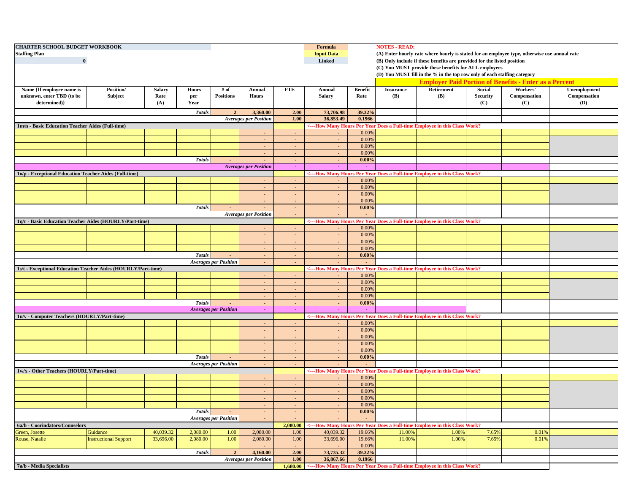| <b>CHARTER SCHOOL BUDGET WORKBOOK</b><br><b>Staffing Plan</b><br>$\bf{0}$ |                              |                       |                     |                              | Formula<br><b>Input Data</b><br>Linked                                                                                                    |                  | <b>NOTES - READ:</b><br>(A) Enter hourly rate where hourly is stated for an employee type, otherwise use annual rate<br>(B) Only include if these benefits are provided for the listed position<br>(C) You MUST provide these benefits for ALL employees |                        |                                |                                                                            |                           |                                 |                              |
|---------------------------------------------------------------------------|------------------------------|-----------------------|---------------------|------------------------------|-------------------------------------------------------------------------------------------------------------------------------------------|------------------|----------------------------------------------------------------------------------------------------------------------------------------------------------------------------------------------------------------------------------------------------------|------------------------|--------------------------------|----------------------------------------------------------------------------|---------------------------|---------------------------------|------------------------------|
|                                                                           |                              |                       |                     |                              | (D) You MUST fill in the % in the top row only of each staffing category<br><b>Employer Paid Portion of Benefits - Enter as a Percent</b> |                  |                                                                                                                                                                                                                                                          |                        |                                |                                                                            |                           |                                 |                              |
|                                                                           |                              |                       |                     |                              |                                                                                                                                           |                  |                                                                                                                                                                                                                                                          |                        |                                |                                                                            |                           |                                 |                              |
| Name {If employee name is<br>unknown, enter TBD (to be<br>determined)}    | Position/<br>Subject         | <b>Salary</b><br>Rate | <b>Hours</b><br>per | # of<br><b>Positions</b>     | Annual<br><b>Hours</b>                                                                                                                    | <b>FTE</b>       | Annual<br><b>Salary</b>                                                                                                                                                                                                                                  | <b>Benefit</b><br>Rate | <b>Insurance</b><br><b>(B)</b> | Retirement<br>(B)                                                          | Social<br><b>Security</b> | Workers'<br>Compensation<br>(C) | Unemployment<br>Compensation |
|                                                                           |                              | (A)                   | Year                |                              |                                                                                                                                           |                  |                                                                                                                                                                                                                                                          |                        |                                |                                                                            | (C)                       |                                 | <b>(D)</b>                   |
| <b>Totals</b><br>3,360.00<br>$\overline{2}$                               |                              |                       |                     |                              |                                                                                                                                           | 2.00             | 73,706.98                                                                                                                                                                                                                                                | 39.32%<br>0.1966       |                                |                                                                            |                           |                                 |                              |
| 1m/n - Basic Education Teacher Aides (Full-time)                          |                              |                       |                     |                              | <b>Averages per Position</b>                                                                                                              | 1.00             | 36,853.49                                                                                                                                                                                                                                                |                        |                                | <---How Many Hours Per Year Does a Full-time Employee in this Class Work?  |                           |                                 |                              |
|                                                                           |                              |                       |                     |                              |                                                                                                                                           |                  | $\sim$                                                                                                                                                                                                                                                   | 0.00%                  |                                |                                                                            |                           |                                 |                              |
|                                                                           |                              |                       |                     |                              | $\sim$                                                                                                                                    | $\sim$           | $\sim$                                                                                                                                                                                                                                                   | 0.00%                  |                                |                                                                            |                           |                                 |                              |
|                                                                           |                              |                       |                     |                              |                                                                                                                                           | $\sim$           | $\sim$                                                                                                                                                                                                                                                   | 0.00%                  |                                |                                                                            |                           |                                 |                              |
|                                                                           |                              |                       |                     |                              |                                                                                                                                           | $\sim$           | $\sim$                                                                                                                                                                                                                                                   | 0.00%                  |                                |                                                                            |                           |                                 |                              |
|                                                                           |                              |                       | <b>Totals</b>       | $\sim$                       | $\sim$                                                                                                                                    | $\sim$           | $\sim$                                                                                                                                                                                                                                                   | $0.00\%$               |                                |                                                                            |                           |                                 |                              |
|                                                                           |                              |                       |                     |                              | <b>Averages per Position</b>                                                                                                              | $\sim$           | $\sim$                                                                                                                                                                                                                                                   | $\sim$                 |                                |                                                                            |                           |                                 |                              |
| 1o/p - Exceptional Education Teacher Aides (Full-time)                    |                              |                       |                     |                              |                                                                                                                                           |                  |                                                                                                                                                                                                                                                          |                        |                                | <---How Many Hours Per Year Does a Full-time Employee in this Class Work?  |                           |                                 |                              |
|                                                                           |                              |                       |                     |                              |                                                                                                                                           |                  | $\sim$                                                                                                                                                                                                                                                   | 0.00%                  |                                |                                                                            |                           |                                 |                              |
|                                                                           |                              |                       |                     |                              | $\sim$                                                                                                                                    | $\sim$           | $\sim$                                                                                                                                                                                                                                                   | 0.00%                  |                                |                                                                            |                           |                                 |                              |
|                                                                           |                              |                       |                     |                              |                                                                                                                                           | $\sim$           | $\sim$                                                                                                                                                                                                                                                   | 0.00%                  |                                |                                                                            |                           |                                 |                              |
|                                                                           |                              |                       |                     |                              |                                                                                                                                           | $\sim$           | $\sim$                                                                                                                                                                                                                                                   | 0.00%                  |                                |                                                                            |                           |                                 |                              |
|                                                                           |                              |                       | <b>Totals</b>       | $\sim$                       | $\sim$<br><b>Averages per Position</b>                                                                                                    | $\sim$<br>$\sim$ | $\sim$<br>$\sim$                                                                                                                                                                                                                                         | $0.00\%$               |                                |                                                                            |                           |                                 |                              |
| 1q/r - Basic Education Teacher Aides (HOURLY/Part-time)                   |                              |                       |                     |                              |                                                                                                                                           |                  |                                                                                                                                                                                                                                                          |                        |                                | <---How Many Hours Per Year Does a Full-time Employee in this Class Work?  |                           |                                 |                              |
|                                                                           |                              |                       |                     |                              |                                                                                                                                           |                  | $\sim$                                                                                                                                                                                                                                                   | 0.00%                  |                                |                                                                            |                           |                                 |                              |
|                                                                           |                              |                       |                     |                              |                                                                                                                                           |                  | $\sim$                                                                                                                                                                                                                                                   | 0.00%                  |                                |                                                                            |                           |                                 |                              |
|                                                                           |                              |                       |                     |                              | $\sim$                                                                                                                                    | $\sim$           | $\sim$                                                                                                                                                                                                                                                   | 0.00%                  |                                |                                                                            |                           |                                 |                              |
|                                                                           |                              |                       |                     |                              | $\sim$                                                                                                                                    | $\sim$           | $\sim$                                                                                                                                                                                                                                                   | 0.00%                  |                                |                                                                            |                           |                                 |                              |
|                                                                           |                              |                       | <b>Totals</b>       |                              | $\sim$                                                                                                                                    | $\sim$           | $\sim$                                                                                                                                                                                                                                                   | 0.00%                  |                                |                                                                            |                           |                                 |                              |
|                                                                           |                              |                       |                     | <b>Averages per Position</b> | $\sim$                                                                                                                                    | $\sim$           |                                                                                                                                                                                                                                                          |                        |                                |                                                                            |                           |                                 |                              |
| 1s/t - Exceptional Education Teacher Aides (HOURLY/Part-time)             |                              |                       |                     |                              |                                                                                                                                           |                  |                                                                                                                                                                                                                                                          |                        |                                | <--- How Many Hours Per Year Does a Full-time Employee in this Class Work? |                           |                                 |                              |
|                                                                           |                              |                       |                     |                              |                                                                                                                                           |                  | $\sim$                                                                                                                                                                                                                                                   | 0.00%                  |                                |                                                                            |                           |                                 |                              |
|                                                                           |                              |                       |                     |                              | $\sim$                                                                                                                                    | $\sim$           | $\sim$                                                                                                                                                                                                                                                   | 0.00%                  |                                |                                                                            |                           |                                 |                              |
|                                                                           |                              |                       |                     |                              | $\sim$                                                                                                                                    | $\sim$           | $\sim$                                                                                                                                                                                                                                                   | 0.00%                  |                                |                                                                            |                           |                                 |                              |
|                                                                           |                              |                       |                     |                              |                                                                                                                                           |                  | $\sim$                                                                                                                                                                                                                                                   | 0.00%                  |                                |                                                                            |                           |                                 |                              |
|                                                                           |                              |                       | <b>Totals</b>       | $\sim$                       | $\sim$                                                                                                                                    | $\sim$           | $\sim$                                                                                                                                                                                                                                                   | 0.00%                  |                                |                                                                            |                           |                                 |                              |
| 1u/v - Computer Teachers (HOURLY/Part-time)                               |                              |                       |                     | <b>Averages per Position</b> | $\sim$                                                                                                                                    | $\sim$           | $\sim$                                                                                                                                                                                                                                                   |                        |                                |                                                                            |                           |                                 |                              |
|                                                                           |                              |                       |                     |                              | $\sim$                                                                                                                                    | $\sim$           | $\sim$                                                                                                                                                                                                                                                   | 0.00%                  |                                | <---How Many Hours Per Year Does a Full-time Employee in this Class Work?  |                           |                                 |                              |
|                                                                           |                              |                       |                     |                              | $\sim$                                                                                                                                    | $\sim$           | $\sim$                                                                                                                                                                                                                                                   | 0.00%                  |                                |                                                                            |                           |                                 |                              |
|                                                                           |                              |                       |                     |                              | $\sim$                                                                                                                                    | $\sim$           | $\sim$                                                                                                                                                                                                                                                   | 0.00%                  |                                |                                                                            |                           |                                 |                              |
|                                                                           |                              |                       |                     |                              |                                                                                                                                           |                  | $\sim$                                                                                                                                                                                                                                                   | 0.00%                  |                                |                                                                            |                           |                                 |                              |
|                                                                           |                              |                       |                     |                              | $\sim$                                                                                                                                    | $\sim$           | $\sim$                                                                                                                                                                                                                                                   | 0.00%                  |                                |                                                                            |                           |                                 |                              |
|                                                                           |                              |                       | <b>Totals</b>       |                              | $\sim$                                                                                                                                    | $\sim$           | $\sim$                                                                                                                                                                                                                                                   | 0.00%                  |                                |                                                                            |                           |                                 |                              |
|                                                                           |                              |                       |                     | <b>Averages per Position</b> | $\sim$                                                                                                                                    | $\sim$           |                                                                                                                                                                                                                                                          |                        |                                |                                                                            |                           |                                 |                              |
| 1w/x - Other Teachers (HOURLY/Part-time)                                  |                              |                       |                     |                              |                                                                                                                                           |                  |                                                                                                                                                                                                                                                          |                        |                                | <---How Many Hours Per Year Does a Full-time Employee in this Class Work?  |                           |                                 |                              |
|                                                                           |                              |                       |                     |                              |                                                                                                                                           |                  | $\sim$                                                                                                                                                                                                                                                   | 0.00%                  |                                |                                                                            |                           |                                 |                              |
|                                                                           |                              |                       |                     |                              | $\sim$                                                                                                                                    | $\sim$           | $\sim$                                                                                                                                                                                                                                                   | 0.00%                  |                                |                                                                            |                           |                                 |                              |
|                                                                           |                              |                       |                     |                              | $\sim$                                                                                                                                    | $\sim$           | $\sim$                                                                                                                                                                                                                                                   | 0.00%                  |                                |                                                                            |                           |                                 |                              |
|                                                                           |                              |                       |                     |                              |                                                                                                                                           | $\sim$           | ÷.                                                                                                                                                                                                                                                       | 0.00%                  |                                |                                                                            |                           |                                 |                              |
|                                                                           |                              |                       | <b>Totals</b>       |                              | $\sim$<br>$\sim$                                                                                                                          | $\sim$<br>$\sim$ | $\sim$<br>$\sim$                                                                                                                                                                                                                                         | 0.00%<br>0.00%         |                                |                                                                            |                           |                                 |                              |
|                                                                           |                              |                       |                     | <b>Averages per Position</b> | $\sim$                                                                                                                                    | $\sim$           | $\blacksquare$                                                                                                                                                                                                                                           | $\sim$                 |                                |                                                                            |                           |                                 |                              |
| 6a/b - Coorindators/Counselors                                            |                              |                       |                     |                              |                                                                                                                                           | 2,080.00         |                                                                                                                                                                                                                                                          |                        |                                | <---How Many Hours Per Year Does a Full-time Employee in this Class Work?  |                           |                                 |                              |
| Green, Josette                                                            | Guidance                     | 40,039.32             | 2,080.00            | 1.00                         | 2,080.00                                                                                                                                  | 1.00             | 40,039.32                                                                                                                                                                                                                                                | 19.66%                 | 11.00%                         | 1.00%                                                                      | 7.65%                     | 0.01%                           |                              |
| Rouse, Natalie                                                            | <b>Instructional Support</b> | 33,696.00             | 2,080.00            | 1.00                         | 2,080.00                                                                                                                                  | 1.00             | 33,696.00                                                                                                                                                                                                                                                | 19.66%                 | 11.00%                         | 1.00%                                                                      | 7.65%                     | 0.01%                           |                              |
|                                                                           |                              |                       |                     |                              |                                                                                                                                           |                  |                                                                                                                                                                                                                                                          | 0.00%                  |                                |                                                                            |                           |                                 |                              |
|                                                                           |                              |                       | <b>Totals</b>       | $\overline{2}$               | 4,160.00                                                                                                                                  | 2.00             | 73,735.32                                                                                                                                                                                                                                                | 39.32%                 |                                |                                                                            |                           |                                 |                              |
|                                                                           |                              |                       |                     |                              | <b>Averages per Position</b>                                                                                                              | 1.00             | 36,867.66                                                                                                                                                                                                                                                | 0.1966                 |                                |                                                                            |                           |                                 |                              |
| 7a/b - Media Specialists                                                  |                              |                       |                     |                              |                                                                                                                                           | 1,680.00         |                                                                                                                                                                                                                                                          |                        |                                | <---How Many Hours Per Year Does a Full-time Employee in this Class Work?  |                           |                                 |                              |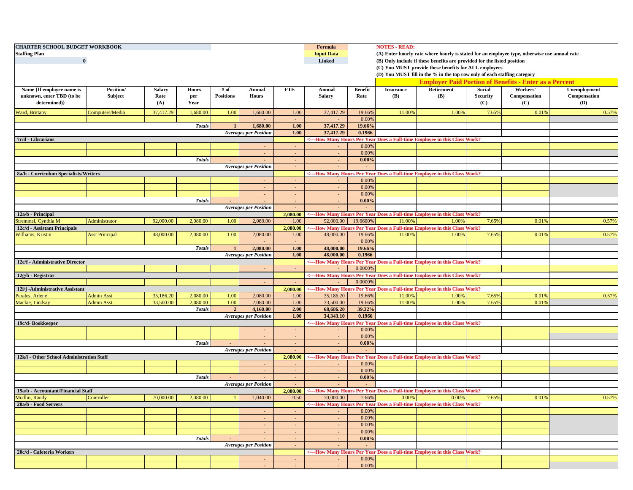| <b>CHARTER SCHOOL BUDGET WORKBOOK</b>                                            |                       |               |               |                  |                              |                  | Formula                |                                                               | <b>NOTES - READ:</b> |                                                                                                                                   |                 |              |                     |
|----------------------------------------------------------------------------------|-----------------------|---------------|---------------|------------------|------------------------------|------------------|------------------------|---------------------------------------------------------------|----------------------|-----------------------------------------------------------------------------------------------------------------------------------|-----------------|--------------|---------------------|
| <b>Staffing Plan</b>                                                             |                       |               |               |                  |                              |                  | <b>Input Data</b>      |                                                               |                      | (A) Enter hourly rate where hourly is stated for an employee type, otherwise use annual rate                                      |                 |              |                     |
| $\mathbf{0}$                                                                     |                       |               |               |                  |                              |                  | <b>Linked</b>          |                                                               |                      | (B) Only include if these benefits are provided for the listed position                                                           |                 |              |                     |
|                                                                                  |                       |               |               |                  |                              |                  |                        |                                                               |                      | (C) You MUST provide these benefits for ALL employees<br>(D) You MUST fill in the % in the top row only of each staffing category |                 |              |                     |
|                                                                                  |                       |               |               |                  |                              |                  |                        | <b>Employer Paid Portion of Benefits - Enter as a Percent</b> |                      |                                                                                                                                   |                 |              |                     |
| Name {If employee name is                                                        | <b>Position</b> /     | <b>Salary</b> | <b>Hours</b>  | # of             | Annual                       | <b>FTE</b>       | Annual                 | <b>Benefit</b>                                                | <b>Insurance</b>     | <b>Retirement</b>                                                                                                                 | Social          | Workers'     | <b>Unemployment</b> |
| unknown, enter TBD (to be                                                        | Subject               | Rate          | per           | <b>Positions</b> | <b>Hours</b>                 |                  | Salary                 | Rate                                                          | <b>(B)</b>           | <b>(B)</b>                                                                                                                        | <b>Security</b> | Compensation | Compensation        |
| determined)}                                                                     |                       | (A)           | Year          |                  |                              |                  |                        |                                                               |                      |                                                                                                                                   | (C)             | (C)          | (D)                 |
| Ward, Brittany                                                                   | Computers/Media       | 37,417.29     | 1,680.00      | 1.00             | 1,680.00                     | 1.00             | 37,417.29              | 19.66%                                                        | 11.00%               | 1.00%                                                                                                                             | 7.65%           | 0.01%        | 0.57%               |
|                                                                                  |                       |               |               |                  |                              | $\sim$           |                        | 0.00%                                                         |                      |                                                                                                                                   |                 |              |                     |
|                                                                                  | <b>Totals</b>         | $\mathbf{1}$  | 1,680.00      | 1.00             | 37,417.29                    | 19.66%           |                        |                                                               |                      |                                                                                                                                   |                 |              |                     |
|                                                                                  |                       |               |               |                  | <b>Averages per Position</b> | 1.00             | 37,417.29              | 0.1966                                                        |                      |                                                                                                                                   |                 |              |                     |
| 7c/d - Librarians                                                                |                       |               |               |                  |                              |                  |                        |                                                               |                      | <---How Many Hours Per Year Does a Full-time Employee in this Class Work?                                                         |                 |              |                     |
|                                                                                  |                       |               |               |                  |                              |                  |                        | 0.00%                                                         |                      |                                                                                                                                   |                 |              |                     |
|                                                                                  |                       |               |               |                  |                              |                  |                        | 0.00%                                                         |                      |                                                                                                                                   |                 |              |                     |
|                                                                                  |                       |               | <b>Totals</b> |                  | $\sim$                       | $\sim$           | $\sim$                 | 0.00%                                                         |                      |                                                                                                                                   |                 |              |                     |
|                                                                                  |                       |               |               |                  | <b>Averages per Position</b> | $\sim$           | $\sim$                 |                                                               |                      |                                                                                                                                   |                 |              |                     |
| 8a/b - Curriculum Specialists/Writers                                            |                       |               |               |                  |                              |                  |                        |                                                               |                      | <---How Many Hours Per Year Does a Full-time Employee in this Class Work?                                                         |                 |              |                     |
|                                                                                  |                       |               |               |                  |                              |                  |                        | 0.00%                                                         |                      |                                                                                                                                   |                 |              |                     |
|                                                                                  |                       |               |               |                  | $\blacksquare$               | $\sim$           | $\sim$                 | 0.00%                                                         |                      |                                                                                                                                   |                 |              |                     |
|                                                                                  |                       |               |               |                  |                              | $\sim$           | $\sim$                 | 0.00%                                                         |                      |                                                                                                                                   |                 |              |                     |
|                                                                                  |                       |               | <b>Totals</b> |                  |                              | $\sim$           | $\sim$                 | 0.00%                                                         |                      |                                                                                                                                   |                 |              |                     |
|                                                                                  |                       |               |               |                  | <b>Averages per Position</b> | $\sim$           | $\sim$                 | $\sim$                                                        |                      |                                                                                                                                   |                 |              |                     |
| 12a/b - Principal                                                                |                       |               |               |                  |                              | 2,080.00         |                        |                                                               |                      | <---How Many Hours Per Year Does a Full-time Employee in this Class Work?                                                         |                 |              |                     |
| Stremmel, Cynthia M                                                              | Administrator         | 92,000.00     | 2,080.00      | 1.00             | 2,080.00                     | 1.00             | 92,000.00              | 19.6600%                                                      | 11.00%               | 1.00%                                                                                                                             | 7.65%           | 0.01%        | 0.57%               |
| 12c/d - Assistant Principals                                                     |                       |               |               |                  |                              | 2,080.00         |                        |                                                               |                      | <---How Many Hours Per Year Does a Full-time Employee in this Class Work?                                                         |                 |              |                     |
| Williams, Kristin                                                                | <b>Asst Principal</b> | 48,000.00     | 2,080.00      | 1.00             | 2,080.00                     | 1.00             | 48,000.00              | 19.66%                                                        | 11.00%               | 1.009                                                                                                                             | 7.65%           | 0.01%        | 0.57%               |
|                                                                                  |                       |               |               |                  |                              | $\sim$           |                        | 0.00%                                                         |                      |                                                                                                                                   |                 |              |                     |
|                                                                                  |                       |               | <b>Totals</b> | $\mathbf{1}$     | 2,080.00                     | 1.00             | 48,000.00              | 19.66%                                                        |                      |                                                                                                                                   |                 |              |                     |
|                                                                                  |                       |               |               |                  | <b>Averages per Position</b> | 1.00             | 48,000.00              | 0.1966                                                        |                      |                                                                                                                                   |                 |              |                     |
| 12e/f - Administrative Director                                                  |                       |               |               |                  |                              |                  |                        |                                                               |                      | <---How Many Hours Per Year Does a Full-time Employee in this Class Work?                                                         |                 |              |                     |
|                                                                                  |                       |               |               |                  |                              |                  |                        | 0.0000%                                                       |                      |                                                                                                                                   |                 |              |                     |
| 12g/h - Registrar                                                                |                       |               |               |                  |                              |                  |                        |                                                               |                      | <---How Many Hours Per Year Does a Full-time Employee in this Class Work?                                                         |                 |              |                     |
|                                                                                  |                       |               |               |                  |                              |                  |                        | 0.0000%                                                       |                      |                                                                                                                                   |                 |              |                     |
| 12i/j -Administrative Assistant                                                  |                       |               |               |                  |                              | 2.080.00         |                        |                                                               |                      | <---How Many Hours Per Year Does a Full-time Employee in this Class Work?                                                         |                 |              |                     |
| Perales, Arlene                                                                  | <b>Admin Asst</b>     | 35,186.20     | 2,080.00      | 1.00             | 2,080.00                     | 1.00             | 35,186.20              | 19.66%                                                        | 11.00%               | 1.00%                                                                                                                             | 7.65%           | 0.01%        | 0.57%               |
| Mackie, Lindsay                                                                  | <b>Admin Asst</b>     | 33,500.00     | 2,080.00      | 1.00             | 2,080.00                     | 1.00<br>2.00     | 33,500.00              | 19.66%<br>39.32%                                              | 11.00%               | 1.009                                                                                                                             | 7.65%           | 0.019        |                     |
|                                                                                  |                       |               | <b>Totals</b> | $\overline{2}$   | 4,160.00                     | 1.00             | 68,686.20<br>34,343.10 | 0.1966                                                        |                      |                                                                                                                                   |                 |              |                     |
|                                                                                  |                       |               |               |                  | <b>Averages per Position</b> |                  |                        |                                                               |                      | <---How Many Hours Per Year Does a Full-time Employee in this Class Work?                                                         |                 |              |                     |
| 19c/d-Bookkeeper                                                                 |                       |               |               |                  |                              |                  |                        | 0.00%                                                         |                      |                                                                                                                                   |                 |              |                     |
|                                                                                  |                       |               |               |                  | $\sim$                       | $\sim$<br>$\sim$ |                        | 0.00%                                                         |                      |                                                                                                                                   |                 |              |                     |
|                                                                                  |                       |               | <b>Totals</b> |                  |                              | $\sim$           | $\sim$<br>$\sim$       | 0.00%                                                         |                      |                                                                                                                                   |                 |              |                     |
|                                                                                  |                       |               |               |                  | <b>Averages per Position</b> | $\sim$           |                        |                                                               |                      |                                                                                                                                   |                 |              |                     |
| 12k/l - Other School Administration Staff                                        |                       |               |               |                  |                              | 2,080.00         |                        |                                                               |                      | <---How Many Hours Per Year Does a Full-time Employee in this Class Work?                                                         |                 |              |                     |
|                                                                                  |                       |               |               |                  |                              |                  |                        | 0.00%                                                         |                      |                                                                                                                                   |                 |              |                     |
|                                                                                  |                       |               |               |                  | $\sim$                       | $\sim$           | $\sim$                 | 0.00%                                                         |                      |                                                                                                                                   |                 |              |                     |
|                                                                                  |                       |               | <b>Totals</b> |                  | $\sim$                       | $\sim$           | $\sim$                 | 0.00%                                                         |                      |                                                                                                                                   |                 |              |                     |
|                                                                                  |                       |               |               |                  | <b>Averages per Position</b> | $\blacksquare$   |                        |                                                               |                      |                                                                                                                                   |                 |              |                     |
| 19a/b - Accountant/Financial Staff                                               |                       |               |               |                  |                              | 2.080.00         |                        |                                                               |                      | <---How Many Hours Per Year Does a Full-time Employee in this Class Work?                                                         |                 |              |                     |
| Modlin, Randy<br>70,000.00<br>Controller<br>2,080.00<br>1,040.00<br>$\mathbf{1}$ |                       |               |               |                  |                              | 0.50             | 70,000.00              | 7.66%                                                         | 0.00%                | 0.00%                                                                                                                             | 7.65%           | 0.01%        | 0.57%               |
| 20a/b - Food Servers                                                             |                       |               |               |                  |                              |                  |                        |                                                               |                      | <---How Many Hours Per Year Does a Full-time Employee in this Class Work?                                                         |                 |              |                     |
|                                                                                  |                       |               |               |                  | $\blacksquare$               | $\sim$           | $\sim$                 | 0.00%                                                         |                      |                                                                                                                                   |                 |              |                     |
|                                                                                  |                       |               |               |                  | $\sim$                       | $\sim$           | $\sim$ $-$             | 0.00%                                                         |                      |                                                                                                                                   |                 |              |                     |
|                                                                                  |                       |               |               |                  | ٠                            | $\sim$           | $\sim$                 | 0.00%                                                         |                      |                                                                                                                                   |                 |              |                     |
|                                                                                  |                       |               |               |                  | $\sim$                       | $\sim$           | $\sim$                 | 0.00%                                                         |                      |                                                                                                                                   |                 |              |                     |
|                                                                                  |                       |               | <b>Totals</b> |                  | $\sim$                       | $\sim$           | $\sim$                 | 0.00%                                                         |                      |                                                                                                                                   |                 |              |                     |
|                                                                                  |                       |               |               |                  | <b>Averages per Position</b> | $\sim$           | $\sim$                 |                                                               |                      |                                                                                                                                   |                 |              |                     |
| 20c/d - Cafeteria Workers                                                        |                       |               |               |                  |                              |                  |                        |                                                               |                      | <---How Many Hours Per Year Does a Full-time Employee in this Class Work?                                                         |                 |              |                     |
|                                                                                  |                       |               |               |                  |                              | $\sim$           | $\sim$                 | 0.00%                                                         |                      |                                                                                                                                   |                 |              |                     |
|                                                                                  |                       |               |               |                  |                              | $\sim$           | $\sim$                 | 0.00%                                                         |                      |                                                                                                                                   |                 |              |                     |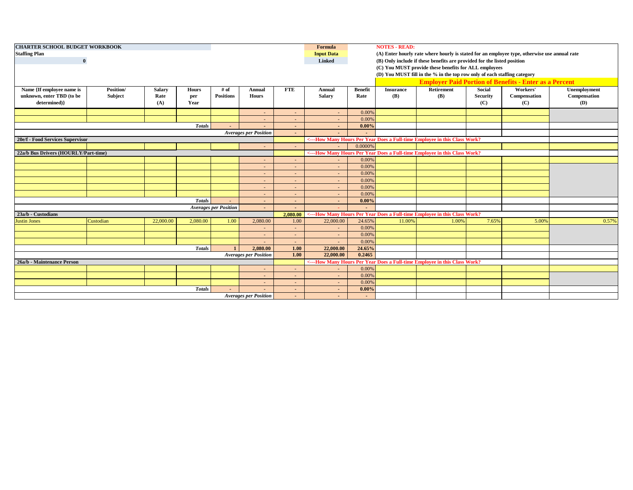| <b>CHARTER SCHOOL BUDGET WORKBOOK</b> |           |               |               |                              |              |                  | Formula           |                                                       | <b>NOTES - READ:</b>                                                                         |                                                                                    |                 |              |              |  |
|---------------------------------------|-----------|---------------|---------------|------------------------------|--------------|------------------|-------------------|-------------------------------------------------------|----------------------------------------------------------------------------------------------|------------------------------------------------------------------------------------|-----------------|--------------|--------------|--|
| <b>Staffing Plan</b>                  |           |               |               |                              |              |                  | <b>Input Data</b> |                                                       | (A) Enter hourly rate where hourly is stated for an employee type, otherwise use annual rate |                                                                                    |                 |              |              |  |
| $\bf{0}$                              |           |               |               |                              |              |                  | <b>Linked</b>     |                                                       | (B) Only include if these benefits are provided for the listed position                      |                                                                                    |                 |              |              |  |
|                                       |           |               |               |                              |              |                  |                   | (C) You MUST provide these benefits for ALL employees |                                                                                              |                                                                                    |                 |              |              |  |
|                                       |           |               |               |                              |              |                  |                   |                                                       | (D) You MUST fill in the % in the top row only of each staffing category                     |                                                                                    |                 |              |              |  |
|                                       |           |               |               |                              |              |                  |                   |                                                       |                                                                                              | <b>Employer Paid Portion of Benefits - Enter as a Percent</b>                      |                 |              |              |  |
| Name {If employee name is             | Position/ | <b>Salary</b> | Hours         | # of                         | Annual       | <b>FTE</b>       | Annual            | <b>Benefit</b>                                        | <b>Insurance</b>                                                                             | Retirement                                                                         | Social          | Workers'     | Unemployment |  |
| unknown, enter TBD (to be             | Subject   | Rate          | per           | <b>Positions</b>             | <b>Hours</b> |                  | <b>Salary</b>     | Rate                                                  | <b>(B)</b>                                                                                   | (B)                                                                                | <b>Security</b> | Compensation | Compensation |  |
| determined)}                          |           | (A)           | Year          |                              |              |                  |                   |                                                       |                                                                                              |                                                                                    | (C)             | (C)          | (D)          |  |
|                                       |           |               |               |                              |              |                  | $\sim$            | 0.00%                                                 |                                                                                              |                                                                                    |                 |              |              |  |
|                                       |           |               |               |                              |              |                  | $\sim$            | 0.00%                                                 |                                                                                              |                                                                                    |                 |              |              |  |
|                                       |           |               | <b>Totals</b> |                              |              |                  | $\sim$            | 0.00%                                                 |                                                                                              |                                                                                    |                 |              |              |  |
| <b>Averages per Position</b>          |           |               |               |                              |              | ÷.               | н.                |                                                       |                                                                                              |                                                                                    |                 |              |              |  |
| 20e/f - Food Services Supervisor      |           |               |               |                              |              |                  |                   |                                                       |                                                                                              | <---How Many Hours Per Year Does a Full-time Employee in this Class Work?          |                 |              |              |  |
|                                       |           |               |               |                              |              | $\sim$           |                   | 0.0000%                                               |                                                                                              |                                                                                    |                 |              |              |  |
| 22a/b Bus Drivers (HOURLY/Part-time)  |           |               |               |                              |              |                  |                   |                                                       |                                                                                              | <---How Many Hours Per Year Does a Full-time Employee in this Class Work?          |                 |              |              |  |
|                                       |           |               |               |                              |              |                  |                   | 0.00%                                                 |                                                                                              |                                                                                    |                 |              |              |  |
|                                       |           |               |               |                              |              |                  | $\sim$            | 0.00%                                                 |                                                                                              |                                                                                    |                 |              |              |  |
|                                       |           |               |               |                              |              |                  | $\sim$            | 0.00%                                                 |                                                                                              |                                                                                    |                 |              |              |  |
|                                       |           |               |               |                              |              |                  |                   | 0.00%                                                 |                                                                                              |                                                                                    |                 |              |              |  |
|                                       |           |               |               |                              |              |                  | ٠                 | 0.00%                                                 |                                                                                              |                                                                                    |                 |              |              |  |
|                                       |           |               |               |                              |              |                  |                   | 0.00%                                                 |                                                                                              |                                                                                    |                 |              |              |  |
|                                       |           |               | <b>Totals</b> |                              |              |                  |                   | 0.00%                                                 |                                                                                              |                                                                                    |                 |              |              |  |
|                                       |           |               |               | <b>Averages per Position</b> |              |                  |                   |                                                       |                                                                                              |                                                                                    |                 |              |              |  |
| 23a/b - Custodians                    | Custodian | 22,000.00     | 2.080.00      | 1.00                         | 2.080.00     | 2.080.00<br>1.00 | 22,000.00         | 24.65%                                                |                                                                                              | <---How Many Hours Per Year Does a Full-time Employee in this Class Work?<br>1.00% | 7.65%           | 5.00%        | 0.57%        |  |
| <b>Justin Jones</b>                   |           |               |               |                              |              |                  | $\sim$            | 0.00%                                                 | 11.00%                                                                                       |                                                                                    |                 |              |              |  |
|                                       |           |               |               |                              |              |                  | $\sim$            | 0.00%                                                 |                                                                                              |                                                                                    |                 |              |              |  |
|                                       |           |               |               |                              |              |                  | $\sim$            | 0.00%                                                 |                                                                                              |                                                                                    |                 |              |              |  |
|                                       |           |               | <b>Totals</b> |                              | 2.080.00     | 1.00             | 22,000.00         | 24.65%                                                |                                                                                              |                                                                                    |                 |              |              |  |
| <b>Averages per Position</b>          |           |               |               |                              |              | 1.00             | 22,000.00         | 0.2465                                                |                                                                                              |                                                                                    |                 |              |              |  |
| 26a/b - Maintenance Person            |           |               |               |                              |              |                  |                   |                                                       |                                                                                              | <---How Many Hours Per Year Does a Full-time Employee in this Class Work?          |                 |              |              |  |
|                                       |           |               |               |                              |              |                  |                   | 0.00%                                                 |                                                                                              |                                                                                    |                 |              |              |  |
|                                       |           |               |               |                              |              |                  | $\sim$            | 0.00%                                                 |                                                                                              |                                                                                    |                 |              |              |  |
|                                       |           |               |               |                              |              |                  | ÷                 | 0.009                                                 |                                                                                              |                                                                                    |                 |              |              |  |
|                                       |           |               | <b>Totals</b> |                              |              |                  | $\sim$            | 0.00%                                                 |                                                                                              |                                                                                    |                 |              |              |  |
| <b>Averages per Position</b>          |           |               |               |                              |              |                  | $\sim$            |                                                       |                                                                                              |                                                                                    |                 |              |              |  |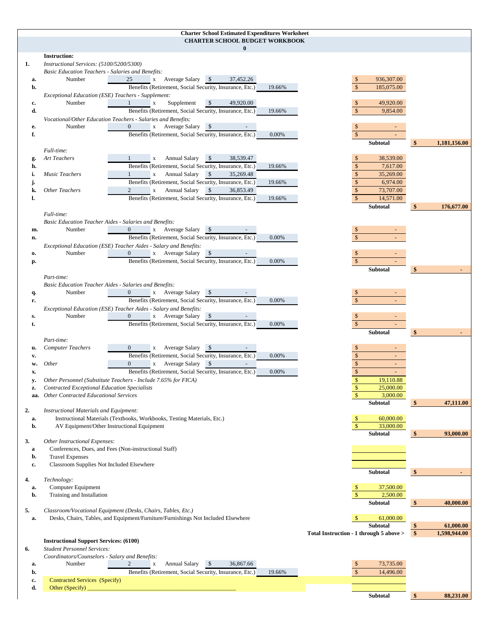## **Charter School Estimated Expenditures Worksheet CHARTER SCHOOL BUDGET WORKBOOK**

|              | CHARTER SCHOOL BUDGET WORKBOOK<br>$\mathbf{0}$                                                                                                                    |                                         |                                      |
|--------------|-------------------------------------------------------------------------------------------------------------------------------------------------------------------|-----------------------------------------|--------------------------------------|
|              | <b>Instruction:</b>                                                                                                                                               |                                         |                                      |
| 1.           | Instructional Services: (5100/5200/5300)<br><b>Basic Education Teachers - Salaries and Benefits:</b>                                                              |                                         |                                      |
| a.           | x Average Salary \$<br>Number<br>25<br>37,452.26                                                                                                                  | 936,307.00<br>$\mathbb{S}$              |                                      |
| b.           | Benefits (Retirement, Social Security, Insurance, Etc.)<br>19.66%                                                                                                 | $\mathcal{S}$<br>185,075.00             |                                      |
|              | Exceptional Education (ESE) Teachers - Supplement:                                                                                                                |                                         |                                      |
| c.           | 49,920.00<br>Number<br>Supplement<br>-\$<br>$\mathbf{1}$<br>$\mathbf X$                                                                                           | 49,920.00<br><sup>\$</sup>              |                                      |
| d.           | Benefits (Retirement, Social Security, Insurance, Etc.)<br>19.66%                                                                                                 | $\mathbb{S}$<br>9,854.00                |                                      |
|              | Vocational/Other Education Teachers - Salaries and Benefits:                                                                                                      |                                         |                                      |
| е.           | Number<br>$\mathbf{0}$<br>x Average Salary<br><b>S</b>                                                                                                            | $\mathbb{S}$                            |                                      |
| f.           | Benefits (Retirement, Social Security, Insurance, Etc.)<br>0.00%                                                                                                  | $\mathbb{S}$                            |                                      |
|              |                                                                                                                                                                   | <b>Subtotal</b>                         | \$<br>1,181,156.00                   |
|              | Full-time:                                                                                                                                                        |                                         |                                      |
| g.           | <b>Annual Salary</b><br>38,539.47<br>Art Teachers<br><b>\$</b><br>$\mathbf x$                                                                                     | $\mathbb{S}$<br>38,539.00               |                                      |
| h.           | Benefits (Retirement, Social Security, Insurance, Etc.)<br>19.66%                                                                                                 | $\mathbb{S}$<br>7,617.00                |                                      |
| i.           | <b>Music Teachers</b><br><b>Annual Salary</b><br>$\sqrt{S}$<br>$\mathbf{x}$<br>35,269.48                                                                          | $\mathbb{S}$<br>35,269.00               |                                      |
| j.           | Benefits (Retirement, Social Security, Insurance, Etc.)<br>19.66%                                                                                                 | $\mathbb{S}$<br>6,974.00                |                                      |
| k.           | $\sqrt{S}$<br><b>Other Teachers</b><br>Annual Salary<br>$\mathbf X$<br>36,853.49                                                                                  | $\sqrt$<br>73,707.00                    |                                      |
| ı.           | Benefits (Retirement, Social Security, Insurance, Etc.)<br>19.66%                                                                                                 | $\mathbb{S}$<br>14,571.00               |                                      |
|              | Full-time:                                                                                                                                                        | Subtotal                                | 176,677.00<br><sup>\$</sup>          |
|              | <b>Basic Education Teacher Aides - Salaries and Benefits:</b>                                                                                                     |                                         |                                      |
| m.           | x Average Salary \$<br>Number<br>$\overline{0}$                                                                                                                   |                                         |                                      |
| n.           | Benefits (Retirement, Social Security, Insurance, Etc.)<br>0.00%                                                                                                  | $\mathbb{S}$                            |                                      |
|              | Exceptional Education (ESE) Teacher Aides - Salary and Benefits:                                                                                                  |                                         |                                      |
| $\mathbf{0}$ | Number<br>$\overline{0}$<br>x Average Salary<br>\$                                                                                                                | $\mathbb{S}$                            |                                      |
| р.           | Benefits (Retirement, Social Security, Insurance, Etc.)<br>0.00%                                                                                                  | $\mathcal{S}$                           |                                      |
|              |                                                                                                                                                                   | <b>Subtotal</b>                         | \$                                   |
|              | Part-time:                                                                                                                                                        |                                         |                                      |
|              | <b>Basic Education Teacher Aides - Salaries and Benefits:</b>                                                                                                     |                                         |                                      |
| q.           | x Average Salary \$<br>Number<br>$\mathbf{0}$                                                                                                                     |                                         |                                      |
| r.           | Benefits (Retirement, Social Security, Insurance, Etc.)<br>0.00%                                                                                                  | $\mathbb{S}$                            |                                      |
|              | Exceptional Education (ESE) Teacher Aides - Salary and Benefits:                                                                                                  |                                         |                                      |
| s.           | $\mathbf{0}$<br>x Average Salary \$<br>Number                                                                                                                     | <sup>\$</sup>                           |                                      |
| t.           | Benefits (Retirement, Social Security, Insurance, Etc.)<br>0.00%                                                                                                  | $\mathbb{S}$                            |                                      |
|              | Part-time:                                                                                                                                                        | Subtotal                                | \$                                   |
| u.           | <b>Computer Teachers</b><br>x Average Salary                                                                                                                      | $\mathbb{S}$                            |                                      |
| v.           | Benefits (Retirement, Social Security, Insurance, Etc.)<br>0.00%                                                                                                  | $\mathbb{S}$                            |                                      |
| w.           | x Average Salary \$<br><i>Other</i><br>$\mathbf{0}$                                                                                                               | $\mathbb{S}$                            |                                      |
| x.           | Benefits (Retirement, Social Security, Insurance, Etc.)<br>0.00%                                                                                                  | $\mathbb{S}$                            |                                      |
| y.           | Other Personnel (Substitute Teachers - Include 7.65% for FICA)                                                                                                    | $\mathbb{S}$<br>19,110.88               |                                      |
| z.           | <b>Contracted Exceptional Education Specialists</b>                                                                                                               | $\mathbb{S}$<br>25,000.00               |                                      |
| aa.          | <b>Other Contracted Educational Services</b>                                                                                                                      | $\mathbf{s}$<br>3,000.00                |                                      |
|              |                                                                                                                                                                   | Subtotal                                | $\frac{1}{2}$<br>47,111.00           |
| 2.           | Instructional Materials and Equipment:                                                                                                                            |                                         |                                      |
| a.           | Instructional Materials (Textbooks, Workbooks, Testing Materials, Etc.)                                                                                           | 60,000.00                               |                                      |
| b.           | AV Equipment/Other Instructional Equipment                                                                                                                        | $\mathbb{S}$<br>33,000.00               |                                      |
|              |                                                                                                                                                                   | Subtotal                                | 93,000.00<br>\$                      |
| 3.           | Other Instructional Expenses:                                                                                                                                     |                                         |                                      |
| a<br>b.      | Conferences, Dues, and Fees (Non-instructional Staff)<br><b>Travel Expenses</b>                                                                                   |                                         |                                      |
| c.           | Classroom Supplies Not Included Elsewhere                                                                                                                         |                                         |                                      |
|              |                                                                                                                                                                   | Subtotal                                | $\frac{1}{2}$                        |
| 4.           | Technology:                                                                                                                                                       |                                         |                                      |
| a.           | Computer Equipment                                                                                                                                                | 37,500.00                               |                                      |
| b.           | Training and Installation                                                                                                                                         | $\mathbb{S}$<br>2,500.00                |                                      |
|              |                                                                                                                                                                   | Subtotal                                | \$<br>40,000.00                      |
| 5.           | Classroom/Vocational Equipment (Desks, Chairs, Tables, Etc.)                                                                                                      |                                         |                                      |
| a.           | Desks, Chairs, Tables, and Equipment/Furniture/Furnishings Not Included Elsewhere                                                                                 | 61,000.00<br><sup>\$</sup>              |                                      |
|              |                                                                                                                                                                   | Subtotal                                | \$<br>61,000.00<br>$\boldsymbol{\$}$ |
|              |                                                                                                                                                                   | Total Instruction - 1 through 5 above > | 1,598,944.00                         |
| 6.           | <b>Instructional Support Services: (6100)</b><br><b>Student Personnel Services:</b>                                                                               |                                         |                                      |
|              | Coordinators/Counselors - Salary and Benefits:                                                                                                                    |                                         |                                      |
| a.           | Number<br>Annual Salary<br>$\sqrt{S}$<br>36,867.66<br>2<br>$\mathbf X$                                                                                            | 73,735.00                               |                                      |
| b.           | Benefits (Retirement, Social Security, Insurance, Etc.)<br>19.66%                                                                                                 | 14,496.00                               |                                      |
| c.           | Contracted Services (Specify)                                                                                                                                     |                                         |                                      |
| d.           | Other (Specify) $\overline{\phantom{a}}$<br><u> 1999 - Johann John Stone, mars eta bainar eta industrial eta erromania eta erromania eta erromania eta erroma</u> |                                         |                                      |
|              |                                                                                                                                                                   | Subtotal                                | \$<br>88,231.00                      |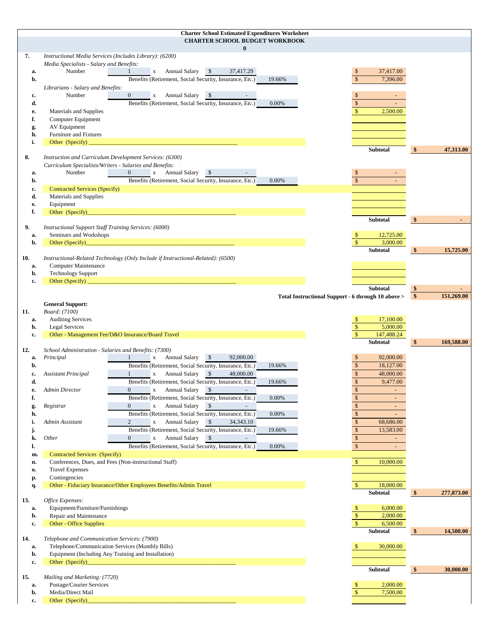|           |                                                                                                     |                                                                                                                                                                             | <b>Charter School Estimated Expenditures Worksheet</b> |        |                                                    |                                |
|-----------|-----------------------------------------------------------------------------------------------------|-----------------------------------------------------------------------------------------------------------------------------------------------------------------------------|--------------------------------------------------------|--------|----------------------------------------------------|--------------------------------|
|           |                                                                                                     |                                                                                                                                                                             | <b>CHARTER SCHOOL BUDGET WORKBOOK</b><br>$\bf{0}$      |        |                                                    |                                |
| 7.        | Instructional Media Services (Includes Library): (6200)<br>Media Specialists - Salary and Benefits: |                                                                                                                                                                             |                                                        |        |                                                    |                                |
| a.        | Number                                                                                              | x Annual Salary<br>1                                                                                                                                                        | $\sqrt{S}$<br>37,417.29                                |        | $\mathbb{S}$<br>37,417.00                          |                                |
| b.        |                                                                                                     | Benefits (Retirement, Social Security, Insurance, Etc.)                                                                                                                     |                                                        | 19.66% | $\mathbf{\hat{s}}$<br>7,396.00                     |                                |
|           | Librarians - Salary and Benefits:                                                                   |                                                                                                                                                                             |                                                        |        |                                                    |                                |
| c.<br>d.  | Number                                                                                              | <b>Annual Salary</b><br>$\overline{0}$<br>$\mathbf X$<br>Benefits (Retirement, Social Security, Insurance, Etc.)                                                            | $\sqrt{S}$                                             | 0.00%  | $\mathbb{S}$<br>$\mathbf{\hat{s}}$                 |                                |
| e.        | Materials and Supplies                                                                              |                                                                                                                                                                             |                                                        |        | $\mathbb{S}$<br>2,500.00                           |                                |
| f.        | Computer Equipment                                                                                  |                                                                                                                                                                             |                                                        |        |                                                    |                                |
| g.        | AV Equipment                                                                                        |                                                                                                                                                                             |                                                        |        |                                                    |                                |
| h.        | Furniture and Fixtures                                                                              |                                                                                                                                                                             |                                                        |        |                                                    |                                |
| i.        | Other (Specify)                                                                                     |                                                                                                                                                                             |                                                        |        | Subtotal                                           | 47,313.00<br>$\boldsymbol{\$}$ |
| 8.        | Instruction and Curriculum Development Services: (6300)                                             |                                                                                                                                                                             |                                                        |        |                                                    |                                |
|           | Curriculum Specialists/Writers - Salaries and Benefits:                                             |                                                                                                                                                                             |                                                        |        |                                                    |                                |
| a.<br>b.  | Number                                                                                              | Annual Salary<br>$\overline{0}$<br>$\mathbf{X}$<br>Benefits (Retirement, Social Security, Insurance, Etc.)                                                                  | <b>\$</b>                                              | 0.00%  | $\mathbf{s}$                                       |                                |
| c.        | <b>Contracted Services (Specify)</b>                                                                |                                                                                                                                                                             |                                                        |        |                                                    |                                |
| d.        | Materials and Supplies                                                                              |                                                                                                                                                                             |                                                        |        |                                                    |                                |
| e.        | Equipment                                                                                           |                                                                                                                                                                             |                                                        |        |                                                    |                                |
| f.        | Other (Specify)                                                                                     | $\mathcal{L}^{\text{max}}_{\text{max}}$ and $\mathcal{L}^{\text{max}}_{\text{max}}$ and $\mathcal{L}^{\text{max}}_{\text{max}}$ and $\mathcal{L}^{\text{max}}_{\text{max}}$ |                                                        |        | Subtotal                                           | \$                             |
| 9.        | <b>Instructional Support Staff Training Services: (6000)</b>                                        |                                                                                                                                                                             |                                                        |        |                                                    |                                |
| a.        | Seminars and Workshops                                                                              |                                                                                                                                                                             |                                                        |        | 12,725.00                                          |                                |
| b.        | Other (Specify)                                                                                     |                                                                                                                                                                             |                                                        |        | $\mathbf{\hat{s}}$<br>3,000.00<br><b>Subtotal</b>  | 15,725.00<br>\$                |
| 10.       |                                                                                                     | Instructional-Related Technology (Only Include if Instructional-Related): (6500)                                                                                            |                                                        |        |                                                    |                                |
| a.        | Computer Maintenance                                                                                |                                                                                                                                                                             |                                                        |        |                                                    |                                |
| b.        | <b>Technology Support</b>                                                                           |                                                                                                                                                                             |                                                        |        |                                                    |                                |
| c.        | Other (Specify)                                                                                     |                                                                                                                                                                             |                                                        |        | Subtotal                                           | \$                             |
|           |                                                                                                     |                                                                                                                                                                             |                                                        |        | Total Instructional Support - 6 through 10 above > | \$<br>151,269.00               |
|           | <b>General Support:</b>                                                                             |                                                                                                                                                                             |                                                        |        |                                                    |                                |
| 11.<br>a. | Board: (7100)<br><b>Auditing Services</b>                                                           |                                                                                                                                                                             |                                                        |        | 17,100.00<br>\$                                    |                                |
| b.        | <b>Legal Services</b>                                                                               |                                                                                                                                                                             |                                                        |        | $\mathbb{S}$<br>5,000.00                           |                                |
| c.        | Other - Management Fee/D&O Insurance/Board Travel                                                   |                                                                                                                                                                             |                                                        |        | $\mathbf{\hat{S}}$<br>147,488.24                   |                                |
| 12.       | School Administration - Salaries and Benefits: (7300)                                               |                                                                                                                                                                             |                                                        |        | <b>Subtotal</b>                                    | \$<br>169,588.00               |
| a.        | Principal                                                                                           | x Annual Salary<br>$\mathbf{1}$                                                                                                                                             | $\sqrt{S}$<br>92,000.00                                |        | 92,000.00<br>$\mathbb{S}$                          |                                |
| b.        |                                                                                                     | Benefits (Retirement, Social Security, Insurance, Etc.)                                                                                                                     |                                                        | 19.66% | $\mathbb{S}$<br>18,127.00                          |                                |
| c.        | <b>Assistant Principal</b>                                                                          | <b>Annual Salary</b><br>$\mathbf X$                                                                                                                                         | $\mathcal{S}$<br>48,000.00                             |        | 48,000.00<br>\$                                    |                                |
| d.        | <b>Admin Director</b>                                                                               | Benefits (Retirement, Social Security, Insurance, Etc.)<br>$\mathbf{0}$<br>$\mathbf X$<br>Annual Salary                                                                     | -\$                                                    | 19.66% | $\mathsf{\$}$<br>9,477.00<br>\$                    |                                |
| e.<br>f.  |                                                                                                     | Benefits (Retirement, Social Security, Insurance, Etc.)                                                                                                                     |                                                        | 0.00%  | $\mathbb{S}$                                       |                                |
| g.        | Registrar                                                                                           | x Annual Salary<br>$\overline{0}$                                                                                                                                           | $\sqrt{S}$<br>$\sim$                                   |        |                                                    |                                |
| h.        |                                                                                                     |                                                                                                                                                                             |                                                        |        | $\mathcal{S}$                                      |                                |
| i.        |                                                                                                     | Benefits (Retirement, Social Security, Insurance, Etc.)                                                                                                                     |                                                        | 0.00%  | $\mathcal{S}$                                      |                                |
|           | Admin Assistant                                                                                     | x Annual Salary \$<br>2                                                                                                                                                     | 34, 343. 10                                            |        | $\mathcal{S}$<br>68,686.00                         |                                |
| j.<br>k.  | Other                                                                                               | Benefits (Retirement, Social Security, Insurance, Etc.)<br>Annual Salary<br>$\mathbf{0}$<br>$\mathbf X$                                                                     | $\sqrt{S}$<br>$\overline{\phantom{a}}$                 | 19.66% | $\mathcal{S}$<br>13,583.00<br>$\mathbf{\hat{s}}$   |                                |
| l.        |                                                                                                     | Benefits (Retirement, Social Security, Insurance, Etc.)                                                                                                                     |                                                        | 0.00%  | $\mathsf{\$}$                                      |                                |
| m.        | <b>Contracted Services (Specify)</b>                                                                |                                                                                                                                                                             |                                                        |        |                                                    |                                |
| n.        | Conferences, Dues, and Fees (Non-instructional Staff)                                               |                                                                                                                                                                             |                                                        |        | $\mathbb{S}$<br>10,000.00                          |                                |
| 0.<br>p.  | <b>Travel Expenses</b><br>Contingencies                                                             |                                                                                                                                                                             |                                                        |        |                                                    |                                |
| q.        |                                                                                                     | Other - Fiduciary Insurance/Other Employees Benefits/Admin Travel                                                                                                           |                                                        |        | $\mathbb{S}$<br>18,000.00                          |                                |
|           |                                                                                                     |                                                                                                                                                                             |                                                        |        | Subtotal                                           | 277,873.00<br>\$               |
| 13.<br>a. | Office Expenses:<br>Equipment/Furniture/Furnishings                                                 |                                                                                                                                                                             |                                                        |        | 6,000.00<br>$\mathbb{S}$                           |                                |
| b.        | Repair and Maintenance                                                                              |                                                                                                                                                                             |                                                        |        | $\mathcal{S}$<br>2,000.00                          |                                |
| c.        | Other - Office Supplies                                                                             |                                                                                                                                                                             |                                                        |        | $\mathbb{S}$<br>6,500.00                           |                                |
|           |                                                                                                     |                                                                                                                                                                             |                                                        |        | <b>Subtotal</b>                                    | 14,500.00<br>$\mathbf{\$}$     |
| 14.<br>a. | Telephone and Communication Services: (7900)<br>Telephone/Communication Services (Monthly Bills)    |                                                                                                                                                                             |                                                        |        | 30,000.00                                          |                                |
| b.        | Equipment (Including Any Training and Installation)                                                 |                                                                                                                                                                             |                                                        |        |                                                    |                                |
| c.        | Other (Specify)_                                                                                    |                                                                                                                                                                             |                                                        |        |                                                    |                                |
|           |                                                                                                     |                                                                                                                                                                             |                                                        |        | Subtotal                                           | \$<br>30,000.00                |
| 15.<br>a. | Mailing and Marketing: (7720)<br>Postage/Courier Services                                           |                                                                                                                                                                             |                                                        |        | 2,000.00                                           |                                |
| b.        | Media/Direct Mail<br>Other (Specify)                                                                |                                                                                                                                                                             |                                                        |        | $\mathbf{s}$<br>7,500.00                           |                                |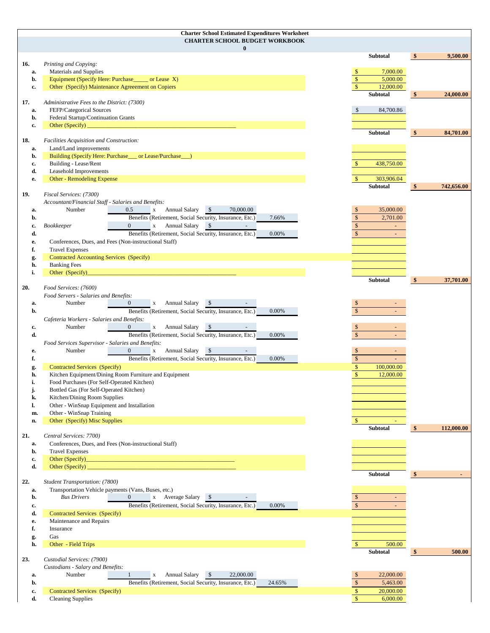|           | <b>Charter School Estimated Expenditures Worksheet</b>                                                                                   |                               |                             |
|-----------|------------------------------------------------------------------------------------------------------------------------------------------|-------------------------------|-----------------------------|
|           | <b>CHARTER SCHOOL BUDGET WORKBOOK</b>                                                                                                    |                               |                             |
|           | $\bf{0}$                                                                                                                                 | <b>Subtotal</b>               | 9,500.00<br>$\mathbf{\$}$   |
| 16.       | Printing and Copying:                                                                                                                    |                               |                             |
| a.        | Materials and Supplies                                                                                                                   | 7,000.00<br>$\mathbb{S}$      |                             |
| b.        | Equipment (Specify Here: Purchase_______ or Lease X)                                                                                     | $\mathbb{S}$<br>5,000.00      |                             |
| c.        | Other (Specify) Maintenance Agreement on Copiers                                                                                         | $\mathsf{\$}$<br>12,000.00    |                             |
|           |                                                                                                                                          | Subtotal                      | $\sqrt[6]{3}$<br>24,000.00  |
| 17.       | Administrative Fees to the District: (7300)                                                                                              |                               |                             |
| a.<br>b.  | FEFP/Categorical Sources<br>Federal Startup/Continuation Grants                                                                          | 84,700.86<br>\$               |                             |
| c.        | Other (Specify) $\overline{\phantom{a}}$                                                                                                 |                               |                             |
|           |                                                                                                                                          | Subtotal                      | $\frac{1}{2}$<br>84,701.00  |
| 18.       | Facilities Acquisition and Construction:                                                                                                 |                               |                             |
| a.        | Land/Land improvements                                                                                                                   |                               |                             |
| b.        | Building (Specify Here: Purchase___ or Lease/Purchase__)                                                                                 |                               |                             |
| c.        | Building - Lease/Rent                                                                                                                    | 438,750.00                    |                             |
| d.<br>е.  | Leasehold Improvements<br><b>Other - Remodeling Expense</b>                                                                              | $\mathbb{S}$<br>303,906.04    |                             |
|           |                                                                                                                                          | Subtotal                      | $\sqrt[6]{3}$<br>742,656.00 |
| 19.       | Fiscal Services: (7300)                                                                                                                  |                               |                             |
|           | Accountant/Financial Staff - Salaries and Benefits:                                                                                      |                               |                             |
| a.        | Number<br>x Annual Salary<br>$\sqrt{S}$<br>70,000.00<br>0.5                                                                              | 35,000.00<br><sup>\$</sup>    |                             |
| b.        | Benefits (Retirement, Social Security, Insurance, Etc.)<br>7.66%                                                                         | $\mathbb{S}$<br>2,701.00      |                             |
| c.        | $\sqrt{S}$<br>Bookkeeper<br>$\overline{0}$<br>x Annual Salary<br>$\overline{\phantom{a}}$                                                | $\mathbb{S}$                  |                             |
| d.        | Benefits (Retirement, Social Security, Insurance, Etc.)<br>0.00%                                                                         | $\mathbb{S}$                  |                             |
| е.<br>f.  | Conferences, Dues, and Fees (Non-instructional Staff)<br><b>Travel Expenses</b>                                                          |                               |                             |
| g.        | Contracted Accounting Services (Specify)                                                                                                 |                               |                             |
| h.        | <b>Banking Fees</b>                                                                                                                      |                               |                             |
| i.        | Other (Specify)                                                                                                                          |                               |                             |
|           |                                                                                                                                          | Subtotal                      | -\$<br>37,701.00            |
| 20.       | Food Services: (7600)                                                                                                                    |                               |                             |
|           | Food Servers - Salaries and Benefits:<br>Number<br>$\sqrt{S}$<br>$\overline{0}$                                                          |                               |                             |
| a.<br>b.  | x Annual Salary<br>Benefits (Retirement, Social Security, Insurance, Etc.)<br>0.00%                                                      | <sup>\$</sup><br>$\mathbb{S}$ |                             |
|           | Cafeteria Workers - Salaries and Benefits:                                                                                               |                               |                             |
| c.        | Number<br><b>Annual Salary</b><br>$\sqrt{S}$<br>$\mathbf X$                                                                              | <sup>\$</sup>                 |                             |
| d.        | Benefits (Retirement, Social Security, Insurance, Etc.)<br>0.00%                                                                         | $\mathbb{S}$                  |                             |
|           | Food Services Supervisor - Salaries and Benefits:                                                                                        |                               |                             |
| e.        | Number<br>$\overline{0}$<br>$\sqrt{S}$<br>x Annual Salary                                                                                | $\mathbb{S}$                  |                             |
| f.        | Benefits (Retirement, Social Security, Insurance, Etc.)<br>0.00%                                                                         | $\mathbb{S}$                  |                             |
| g.        | Contracted Services (Specify)                                                                                                            | $\sqrt{\ }$<br>100,000.00     |                             |
| h.<br>i.  | Kitchen Equipment/Dining Room Furniture and Equipment<br>Food Purchases (For Self-Operated Kitchen)                                      | $\mathbf{s}$<br>12,000.00     |                             |
| J.        | Bottled Gas (For Self-Operated Kitchen)                                                                                                  |                               |                             |
| k.        | Kitchen/Dining Room Supplies                                                                                                             |                               |                             |
| ı.        | Other - WinSnap Equipment and Installation                                                                                               |                               |                             |
| m.        | Other - WinSnap Training                                                                                                                 |                               |                             |
| n.        | Other (Specify) Misc Supplies                                                                                                            | $\mathbb{S}$                  |                             |
|           |                                                                                                                                          | Subtotal                      | $\frac{1}{2}$<br>112,000.00 |
| 21.<br>a. | Central Services: 7700)<br>Conferences, Dues, and Fees (Non-instructional Staff)                                                         |                               |                             |
| b.        | <b>Travel Expenses</b>                                                                                                                   |                               |                             |
| c.        | Other (Specify)<br><u> 1990 - Jan James James, martin amerikan basar dan berasal dalam pengaran basar dalam pengaran basar dalam pen</u> |                               |                             |
| d.        | Other (Specify) $\_\_$                                                                                                                   |                               |                             |
|           |                                                                                                                                          | Subtotal                      | $\frac{1}{2}$               |
| 22.       | Student Transportation: (7800)                                                                                                           |                               |                             |
| a.<br>b.  | Transportation Vehicle payments (Vans, Buses, etc.)<br><b>Bus Drivers</b><br>$\overline{0}$<br>x Average Salary \$                       | $\mathbb{S}$                  |                             |
| c.        | Benefits (Retirement, Social Security, Insurance, Etc.)<br>0.00%                                                                         | $\mathbb{S}$                  |                             |
| d.        | Contracted Services (Specify)                                                                                                            |                               |                             |
| е.        | Maintenance and Repairs                                                                                                                  |                               |                             |
| f.        | Insurance                                                                                                                                |                               |                             |
| g.        | Gas                                                                                                                                      |                               |                             |
| h.        | Other - Field Trips                                                                                                                      | 500.00<br>$\mathbb{S}$        |                             |
|           |                                                                                                                                          | Subtotal                      | 500.00<br>$\frac{1}{2}$     |
| 23.       | Custodial Services: (7900)<br>Custodians - Salary and Benefits:                                                                          |                               |                             |
| a.        | Annual Salary<br>$\sqrt{S}$<br>22,000.00<br>Number<br>$\mathbf X$                                                                        | $\mathbb{S}$<br>22,000.00     |                             |
| b.        | Benefits (Retirement, Social Security, Insurance, Etc.)<br>24.65%                                                                        | $\sqrt$<br>5,463.00           |                             |
| c.        | <b>Contracted Services (Specify)</b>                                                                                                     | 20,000.00<br>$\mathbb{S}$     |                             |
| d.        | <b>Cleaning Supplies</b>                                                                                                                 | $\mathbb{S}$<br>6,000.00      |                             |